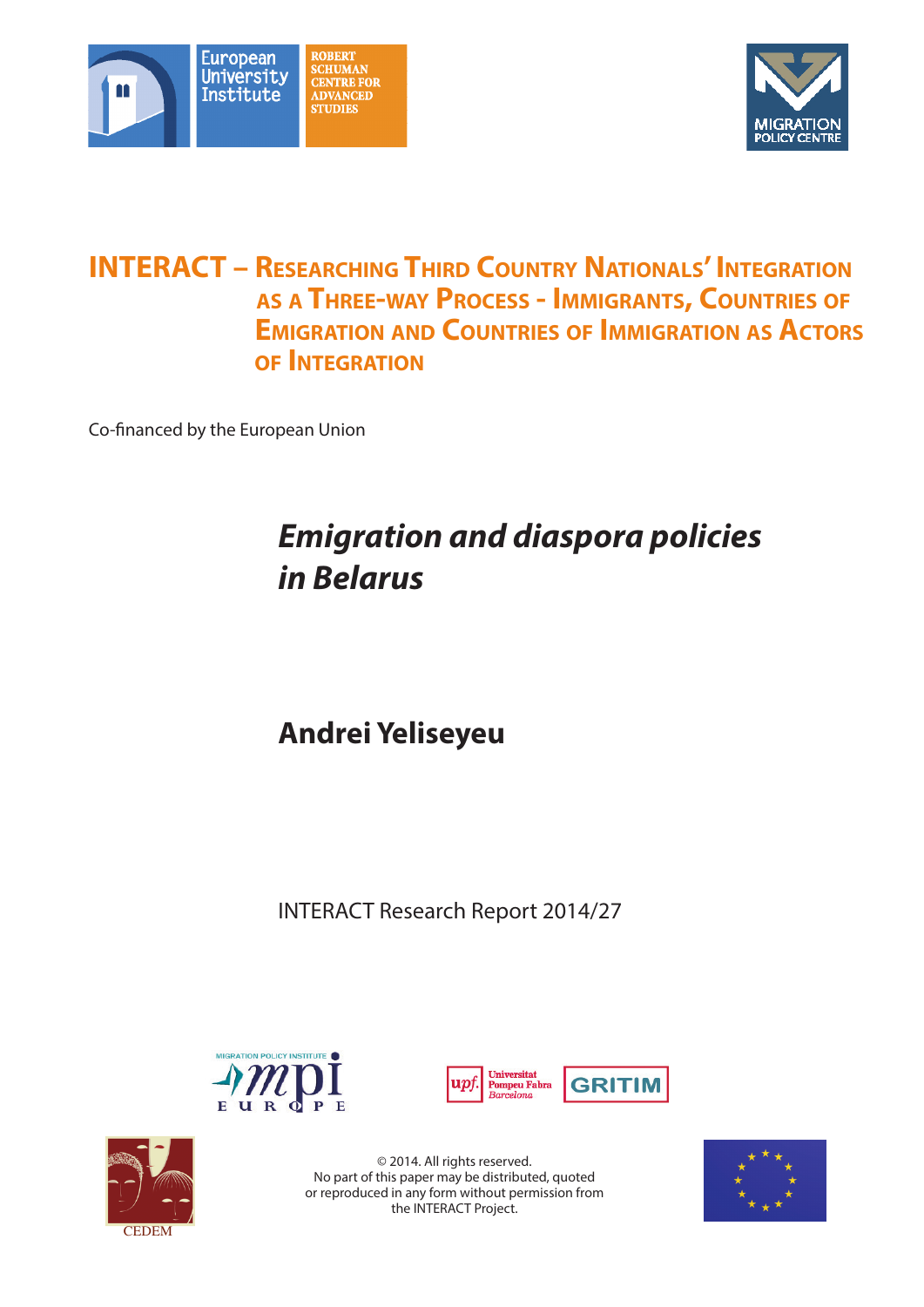



# **INTERACT – RESEARCHING THIRD COUNTRY NATIONALS' INTEGRATION as a Three-way Process - Immigrants, Countries of Emigration and Countries of Immigration as Actors of Integration**

Co-financed by the European Union

# *Emigration and diaspora policies in Belarus*

**Andrei Yeliseyeu**

INTERACT Research Report 2014/27







© 2014. All rights reserved. No part of this paper may be distributed, quoted or reproduced in any form without permission from the INTERACT Project.

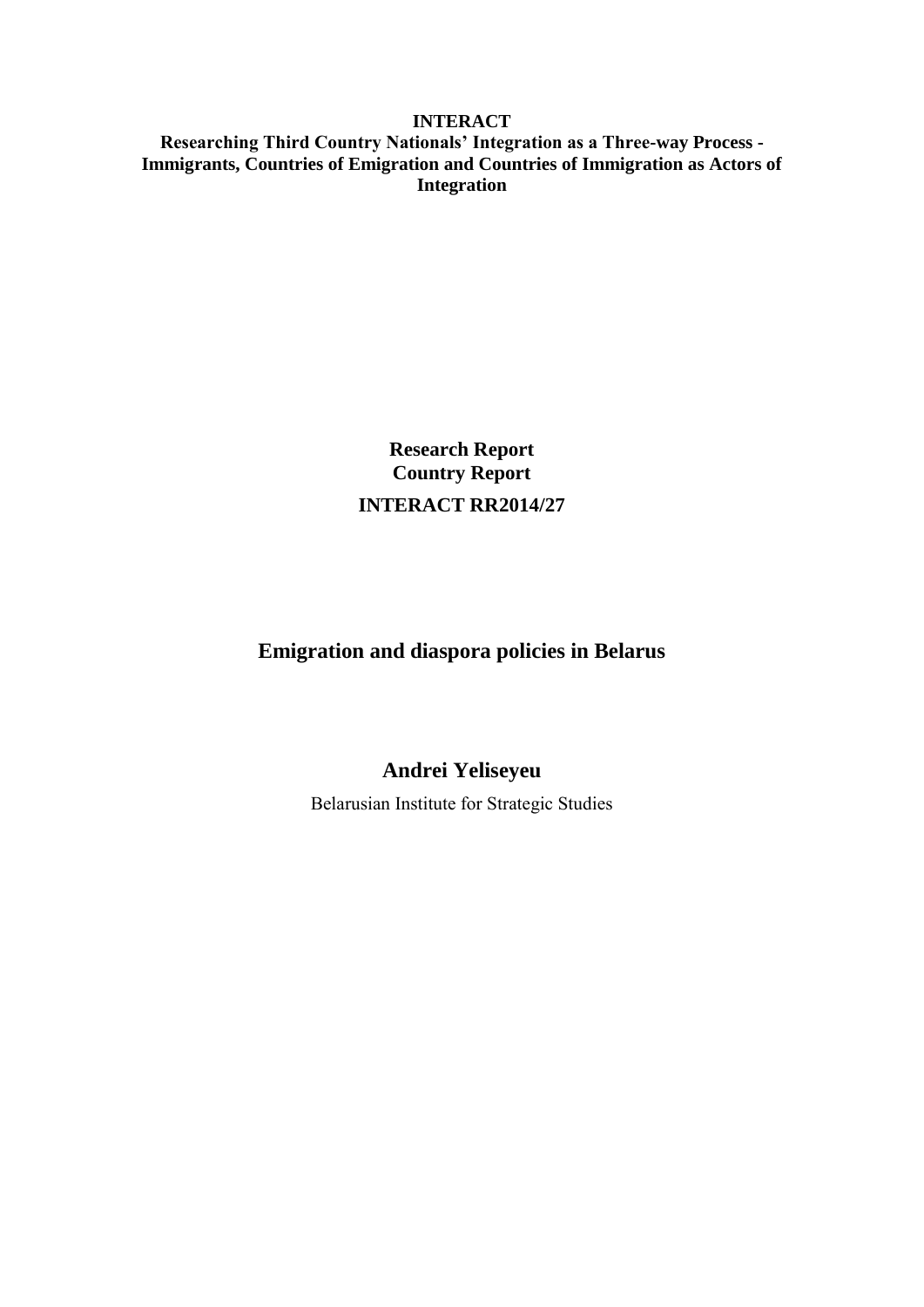# **INTERACT**

**Researching Third Country Nationals' Integration as a Three-way Process - Immigrants, Countries of Emigration and Countries of Immigration as Actors of Integration** 

> **Research Report Country Report INTERACT RR2014/27**

# **Emigration and diaspora policies in Belarus**

# **Andrei Yeliseyeu**

Belarusian Institute for Strategic Studies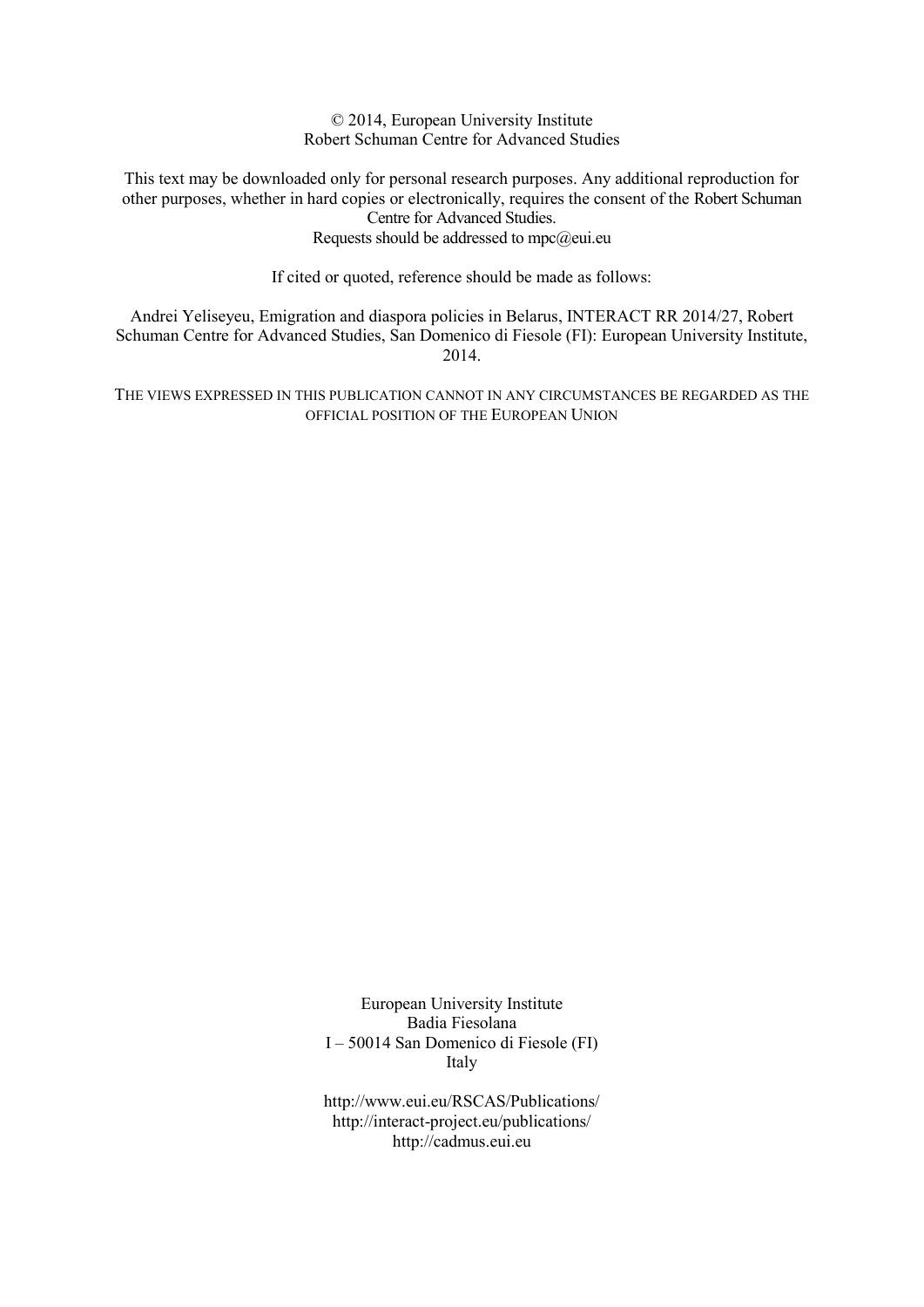© 2014, European University Institute Robert Schuman Centre for Advanced Studies

This text may be downloaded only for personal research purposes. Any additional reproduction for other purposes, whether in hard copies or electronically, requires the consent of the Robert Schuman Centre for Advanced Studies. Requests should be addressed to  $mpc@eu$ .eu

If cited or quoted, reference should be made as follows:

Andrei Yeliseyeu, Emigration and diaspora policies in Belarus, INTERACT RR 2014/27, Robert Schuman Centre for Advanced Studies, San Domenico di Fiesole (FI): European University Institute, 2014.

THE VIEWS EXPRESSED IN THIS PUBLICATION CANNOT IN ANY CIRCUMSTANCES BE REGARDED AS THE OFFICIAL POSITION OF THE EUROPEAN UNION

> European University Institute Badia Fiesolana I – 50014 San Domenico di Fiesole (FI) Italy

> [http://www.eui.eu/RSCAS/Publications/](http://www.iue.it/RSCAS/Publications/) <http://interact-project.eu/publications/> http://cadmus.eui.eu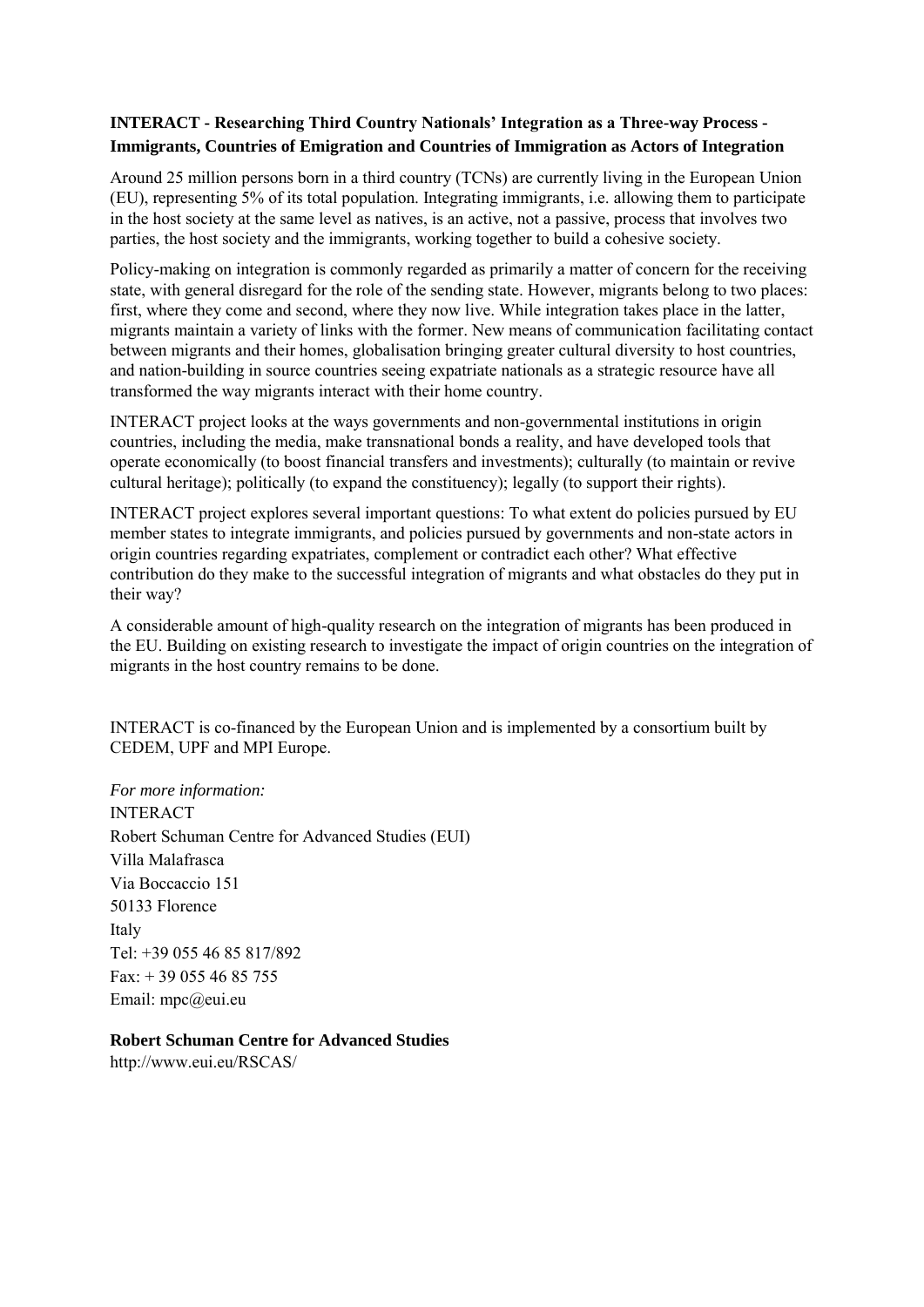# **INTERACT - Researching Third Country Nationals' Integration as a Three-way Process - Immigrants, Countries of Emigration and Countries of Immigration as Actors of Integration**

Around 25 million persons born in a third country (TCNs) are currently living in the European Union (EU), representing 5% of its total population. Integrating immigrants, i.e. allowing them to participate in the host society at the same level as natives, is an active, not a passive, process that involves two parties, the host society and the immigrants, working together to build a cohesive society.

Policy-making on integration is commonly regarded as primarily a matter of concern for the receiving state, with general disregard for the role of the sending state. However, migrants belong to two places: first, where they come and second, where they now live. While integration takes place in the latter, migrants maintain a variety of links with the former. New means of communication facilitating contact between migrants and their homes, globalisation bringing greater cultural diversity to host countries, and nation-building in source countries seeing expatriate nationals as a strategic resource have all transformed the way migrants interact with their home country.

INTERACT project looks at the ways governments and non-governmental institutions in origin countries, including the media, make transnational bonds a reality, and have developed tools that operate economically (to boost financial transfers and investments); culturally (to maintain or revive cultural heritage); politically (to expand the constituency); legally (to support their rights).

INTERACT project explores several important questions: To what extent do policies pursued by EU member states to integrate immigrants, and policies pursued by governments and non-state actors in origin countries regarding expatriates, complement or contradict each other? What effective contribution do they make to the successful integration of migrants and what obstacles do they put in their way?

A considerable amount of high-quality research on the integration of migrants has been produced in the EU. Building on existing research to investigate the impact of origin countries on the integration of migrants in the host country remains to be done.

INTERACT is co-financed by the European Union and is implemented by a consortium built by CEDEM, UPF and MPI Europe.

*For more information:*  INTERACT Robert Schuman Centre for Advanced Studies (EUI) Villa Malafrasca Via Boccaccio 151 50133 Florence Italy Tel: +39 055 46 85 817/892  $Fax: + 390554685755$ Email: mpc@eui.eu

# **Robert Schuman Centre for Advanced Studies**

http://www.eui.eu/RSCAS/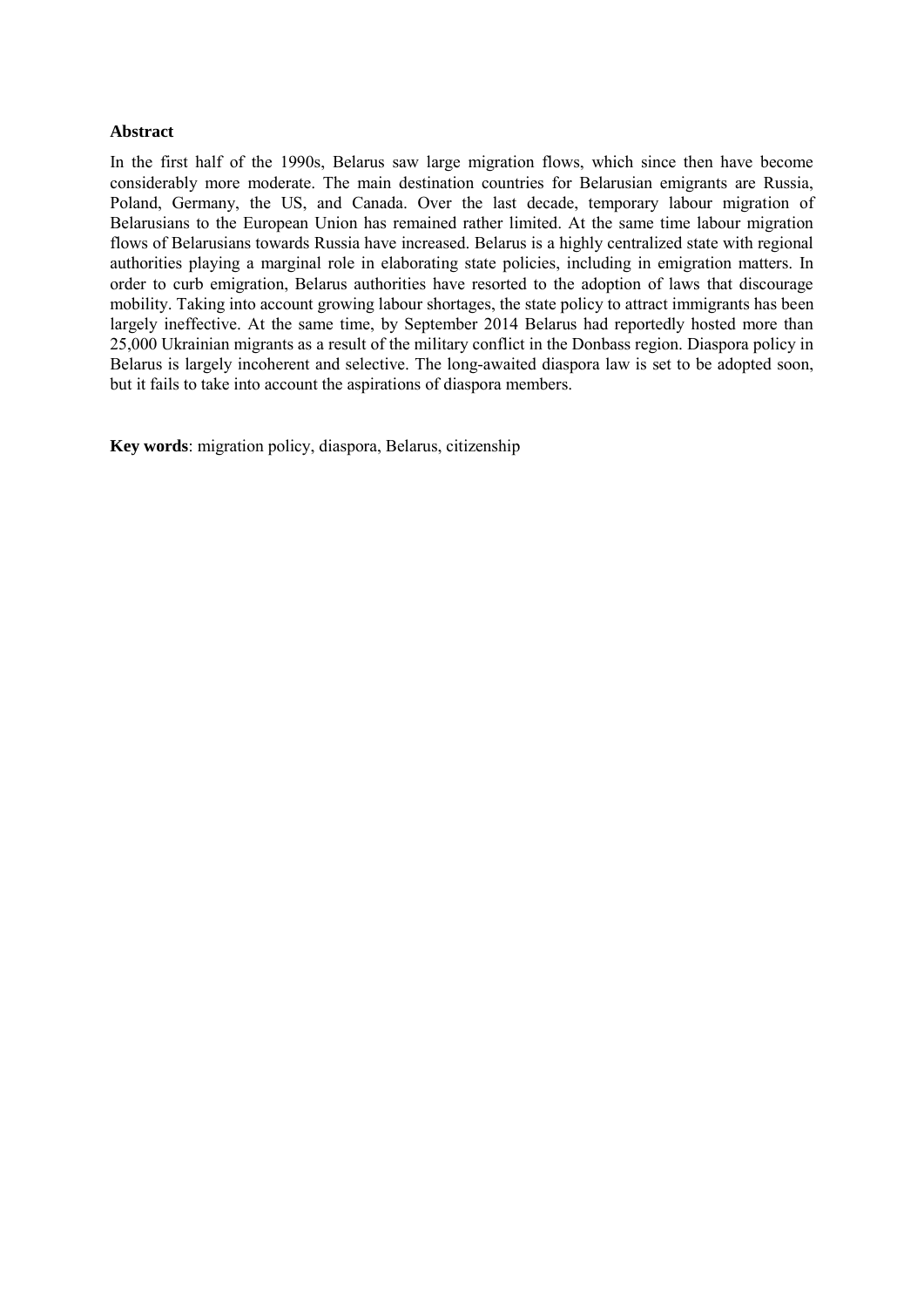# **Abstract**

In the first half of the 1990s, Belarus saw large migration flows, which since then have become considerably more moderate. The main destination countries for Belarusian emigrants are Russia, Poland, Germany, the US, and Canada. Over the last decade, temporary labour migration of Belarusians to the European Union has remained rather limited. At the same time labour migration flows of Belarusians towards Russia have increased. Belarus is a highly centralized state with regional authorities playing a marginal role in elaborating state policies, including in emigration matters. In order to curb emigration, Belarus authorities have resorted to the adoption of laws that discourage mobility. Taking into account growing labour shortages, the state policy to attract immigrants has been largely ineffective. At the same time, by September 2014 Belarus had reportedly hosted more than 25,000 Ukrainian migrants as a result of the military conflict in the Donbass region. Diaspora policy in Belarus is largely incoherent and selective. The long-awaited diaspora law is set to be adopted soon, but it fails to take into account the aspirations of diaspora members.

**Key words**: migration policy, diaspora, Belarus, citizenship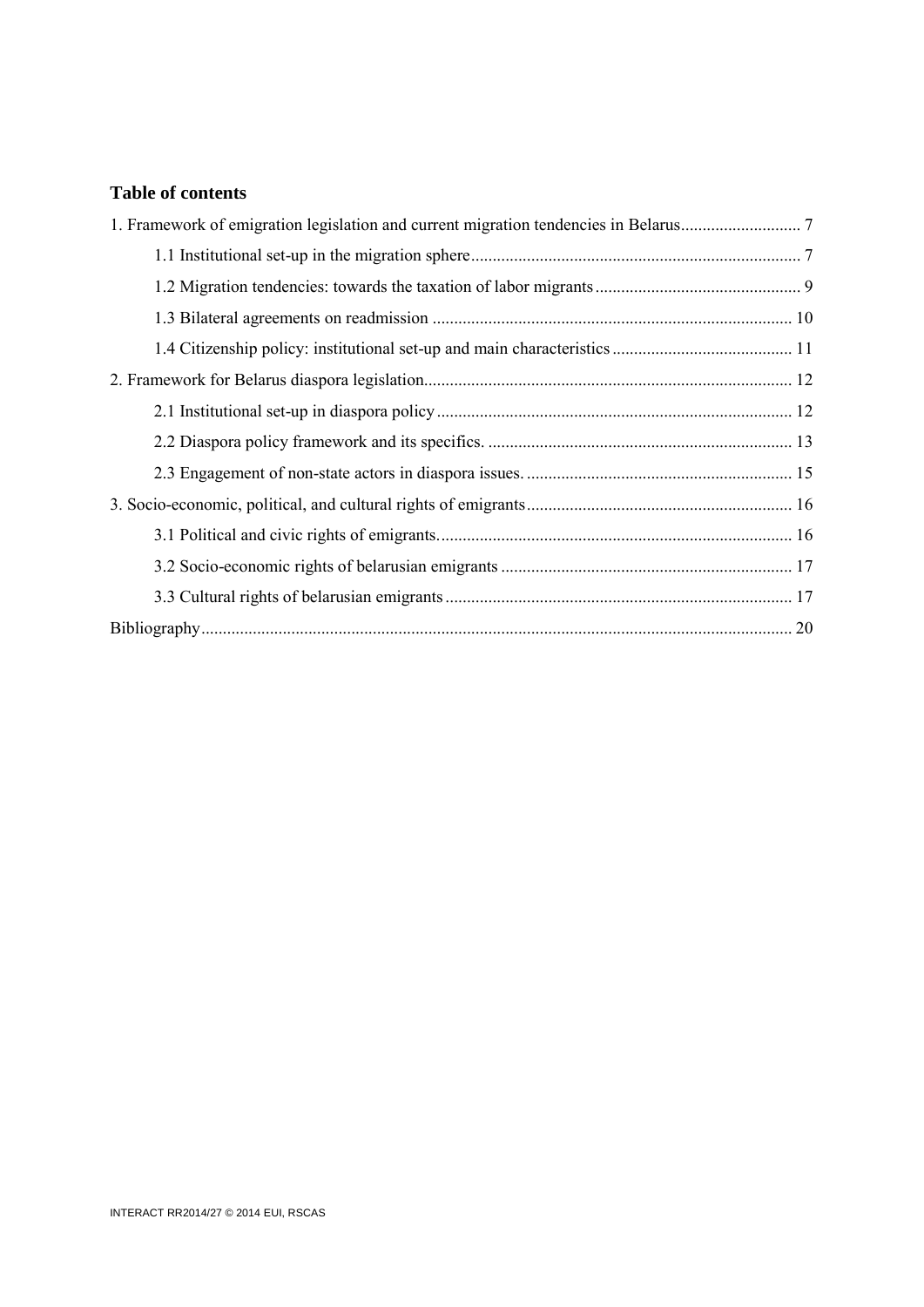# **Table of contents**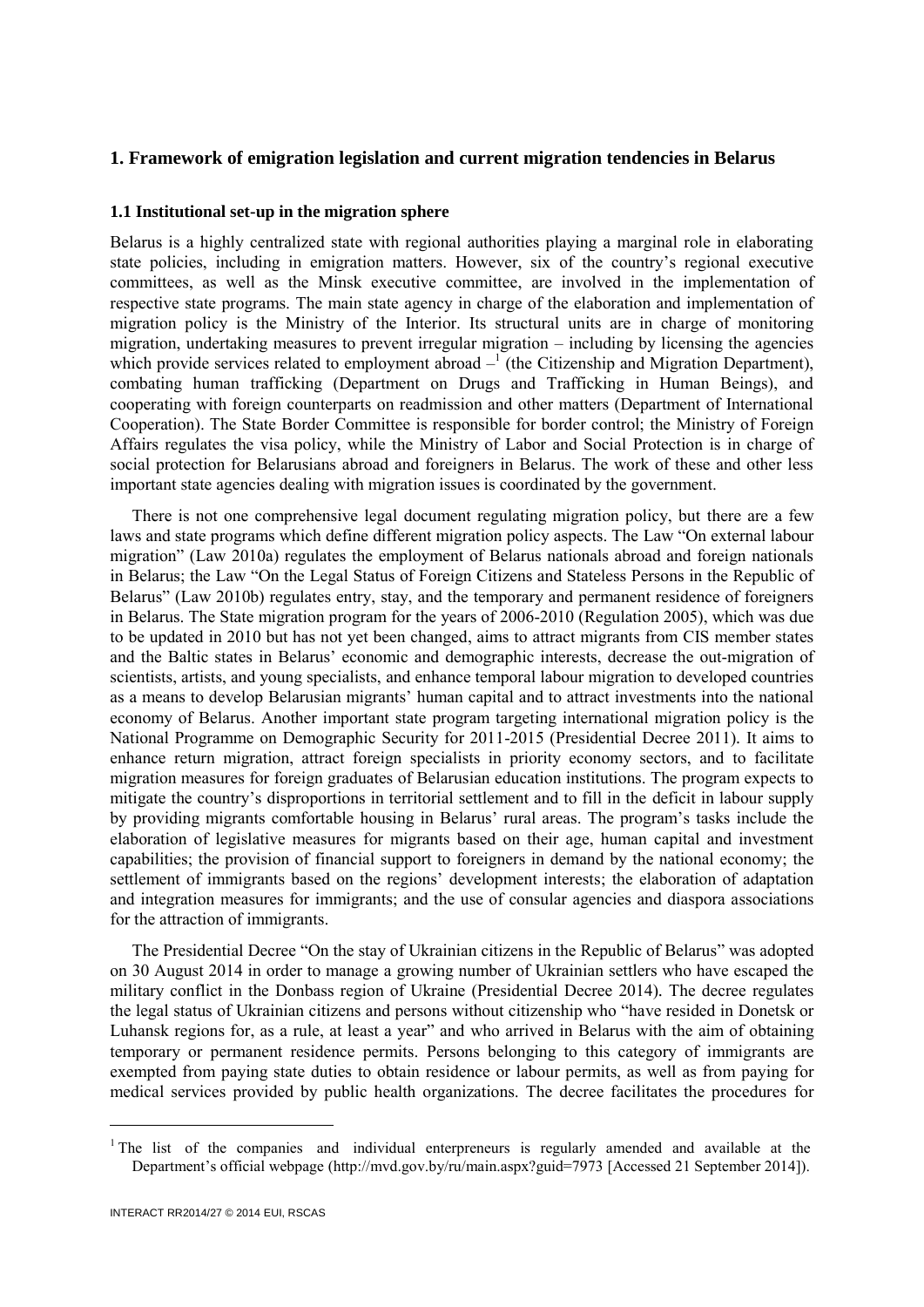# <span id="page-8-1"></span><span id="page-8-0"></span>**1. Framework of emigration legislation and current migration tendencies in Belarus**

# **1.1 Institutional set-up in the migration sphere**

Belarus is a highly centralized state with regional authorities playing a marginal role in elaborating state policies, including in emigration matters. However, six of the country's regional executive committees, as well as the Minsk executive committee, are involved in the implementation of respective state programs. The main state agency in charge of the elaboration and implementation of migration policy is the Ministry of the Interior. Its structural units are in charge of monitoring migration, undertaking measures to prevent irregular migration – including by licensing the agencies which provide services related to employment abroad  $-$ <sup>1</sup> (the Citizenship and Migration Department), combating human trafficking (Department on Drugs and Trafficking in Human Beings), and cooperating with foreign counterparts on readmission and other matters (Department of International Cooperation). The State Border Committee is responsible for border control; the Ministry of Foreign Affairs regulates the visa policy, while the Ministry of Labor and Social Protection is in charge of social protection for Belarusians abroad and foreigners in Belarus. The work of these and other less important state agencies dealing with migration issues is coordinated by the government.

There is not one comprehensive legal document regulating migration policy, but there are a few laws and state programs which define different migration policy aspects. The Law "On external labour migration" (Law 2010a) regulates the employment of Belarus nationals abroad and foreign nationals in Belarus; the Law "On the Legal Status of Foreign Citizens and Stateless Persons in the Republic of Belarus" (Law 2010b) regulates entry, stay, and the temporary and permanent residence of foreigners in Belarus. The State migration program for the years of 2006-2010 (Regulation 2005), which was due to be updated in 2010 but has not yet been changed, aims to attract migrants from CIS member states and the Baltic states in Belarus' economic and demographic interests, decrease the out-migration of scientists, artists, and young specialists, and enhance temporal labour migration to developed countries as a means to develop Belarusian migrants' human capital and to attract investments into the national economy of Belarus. Another important state program targeting international migration policy is the National Programme on Demographic Security for 2011-2015 (Presidential Decree 2011)*.* It aims to enhance return migration, attract foreign specialists in priority economy sectors, and to facilitate migration measures for foreign graduates of Belarusian education institutions. The program expects to mitigate the country's disproportions in territorial settlement and to fill in the deficit in labour supply by providing migrants comfortable housing in Belarus' rural areas. The program's tasks include the elaboration of legislative measures for migrants based on their age, human capital and investment capabilities; the provision of financial support to foreigners in demand by the national economy; the settlement of immigrants based on the regions' development interests; the elaboration of adaptation and integration measures for immigrants; and the use of consular agencies and diaspora associations for the attraction of immigrants.

The Presidential Decree "On the stay of Ukrainian citizens in the Republic of Belarus" was adopted on 30 August 2014 in order to manage a growing number of Ukrainian settlers who have escaped the military conflict in the Donbass region of Ukraine (Presidential Decree 2014)*.* The decree regulates the legal status of Ukrainian citizens and persons without citizenship who "have resided in Donetsk or Luhansk regions for, as a rule, at least a year" and who arrived in Belarus with the aim of obtaining temporary or permanent residence permits. Persons belonging to this category of immigrants are exempted from paying state duties to obtain residence or labour permits, as well as from paying for medical services provided by public health organizations. The decree facilitates the procedures for

 $\overline{a}$ 

 $1$ <sup>1</sup> The list of the companies and individual enterpreneurs is regularly amended and available at the Department's official webpage (http://mvd.gov.by/ru/main.aspx?guid=7973 [Accessed 21 September 2014]).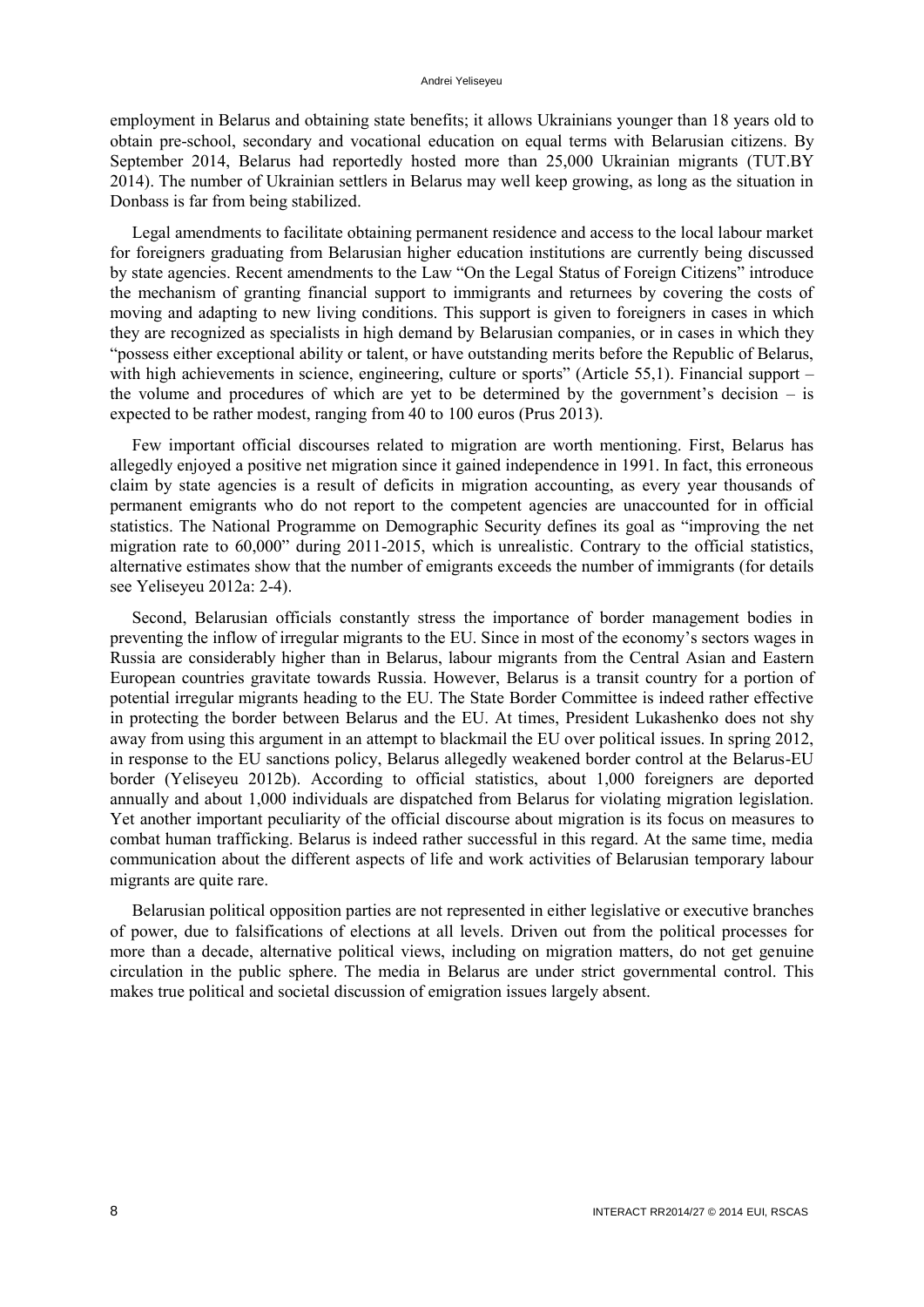employment in Belarus and obtaining state benefits; it allows Ukrainians younger than 18 years old to obtain pre-school, secondary and vocational education on equal terms with Belarusian citizens. By September 2014, Belarus had reportedly hosted more than 25,000 Ukrainian migrants (TUT.BY 2014). The number of Ukrainian settlers in Belarus may well keep growing, as long as the situation in Donbass is far from being stabilized.

Legal amendments to facilitate obtaining permanent residence and access to the local labour market for foreigners graduating from Belarusian higher education institutions are currently being discussed by state agencies. Recent amendments to the Law "On the Legal Status of Foreign Citizens" introduce the mechanism of granting financial support to immigrants and returnees by covering the costs of moving and adapting to new living conditions. This support is given to foreigners in cases in which they are recognized as specialists in high demand by Belarusian companies, or in cases in which they "possess either exceptional ability or talent, or have outstanding merits before the Republic of Belarus, with high achievements in science, engineering, culture or sports" (Article 55,1). Financial support – the volume and procedures of which are yet to be determined by the government's decision – is expected to be rather modest, ranging from 40 to 100 euros (Prus 2013).

Few important official discourses related to migration are worth mentioning. First, Belarus has allegedly enjoyed a positive net migration since it gained independence in 1991. In fact, this erroneous claim by state agencies is a result of deficits in migration accounting, as every year thousands of permanent emigrants who do not report to the competent agencies are unaccounted for in official statistics. The National Programme on Demographic Security defines its goal as "improving the net migration rate to 60,000" during 2011-2015, which is unrealistic. Contrary to the official statistics, alternative estimates show that the number of emigrants exceeds the number of immigrants (for details see Yeliseyeu 2012a: 2-4).

Second, Belarusian officials constantly stress the importance of border management bodies in preventing the inflow of irregular migrants to the EU. Since in most of the economy's sectors wages in Russia are considerably higher than in Belarus, labour migrants from the Central Asian and Eastern European countries gravitate towards Russia. However, Belarus is a transit country for a portion of potential irregular migrants heading to the EU. The State Border Committee is indeed rather effective in protecting the border between Belarus and the EU. At times, President Lukashenko does not shy away from using this argument in an attempt to blackmail the EU over political issues. In spring 2012, in response to the EU sanctions policy, Belarus allegedly weakened border control at the Belarus-EU border (Yeliseyeu 2012b). According to official statistics, about 1,000 foreigners are deported annually and about 1,000 individuals are dispatched from Belarus for violating migration legislation. Yet another important peculiarity of the official discourse about migration is its focus on measures to combat human trafficking. Belarus is indeed rather successful in this regard. At the same time, media communication about the different aspects of life and work activities of Belarusian temporary labour migrants are quite rare.

Belarusian political opposition parties are not represented in either legislative or executive branches of power, due to falsifications of elections at all levels. Driven out from the political processes for more than a decade, alternative political views, including on migration matters, do not get genuine circulation in the public sphere. The media in Belarus are under strict governmental control. This makes true political and societal discussion of emigration issues largely absent.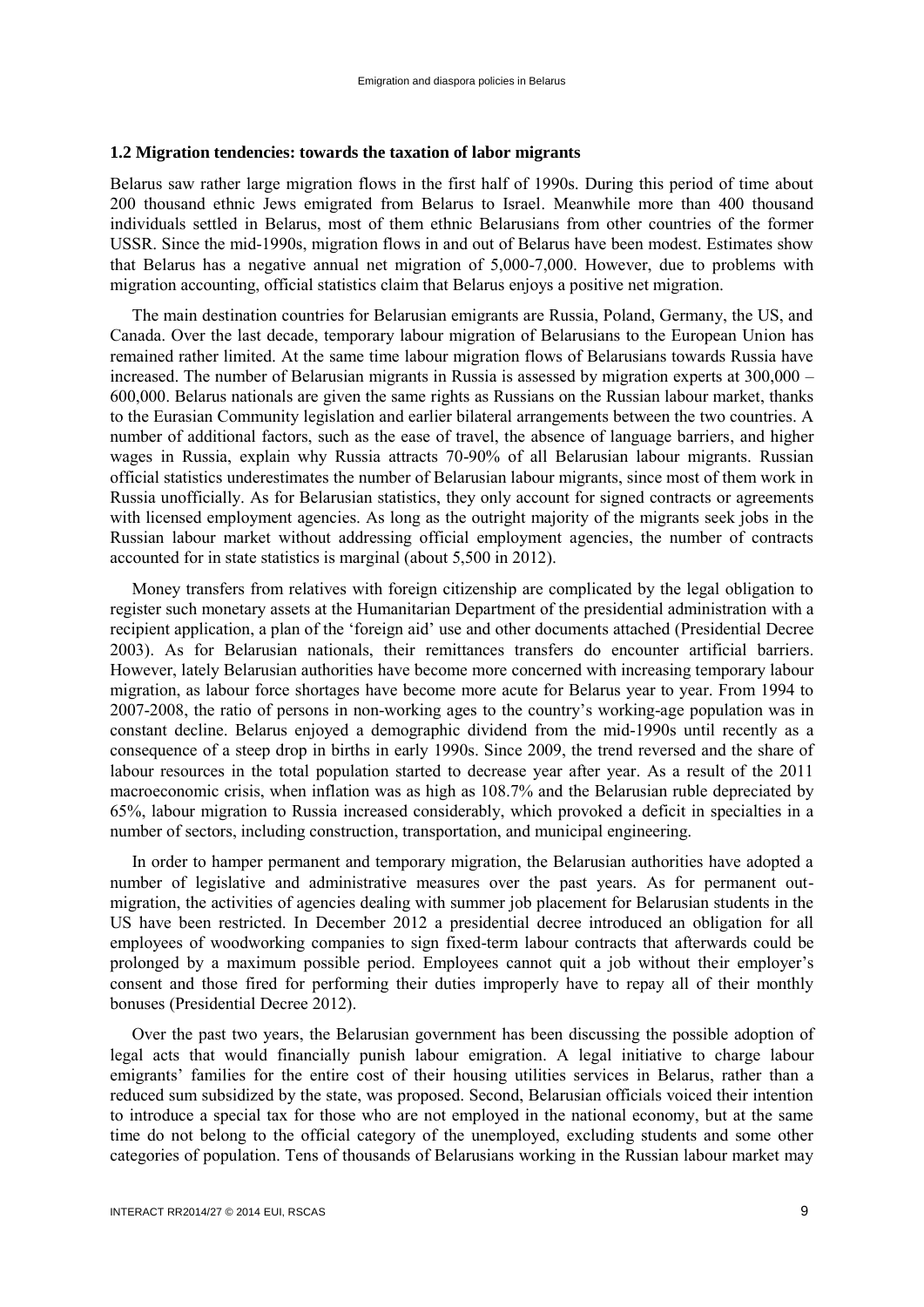#### <span id="page-10-0"></span>**1.2 Migration tendencies: towards the taxation of labor migrants**

Belarus saw rather large migration flows in the first half of 1990s. During this period of time about 200 thousand ethnic Jews emigrated from Belarus to Israel. Meanwhile more than 400 thousand individuals settled in Belarus, most of them ethnic Belarusians from other countries of the former USSR. Since the mid-1990s, migration flows in and out of Belarus have been modest. Estimates show that Belarus has a negative annual net migration of 5,000-7,000. However, due to problems with migration accounting, official statistics claim that Belarus enjoys a positive net migration.

The main destination countries for Belarusian emigrants are Russia, Poland, Germany, the US, and Canada. Over the last decade, temporary labour migration of Belarusians to the European Union has remained rather limited. At the same time labour migration flows of Belarusians towards Russia have increased. The number of Belarusian migrants in Russia is assessed by migration experts at 300,000 – 600,000. Belarus nationals are given the same rights as Russians on the Russian labour market, thanks to the Eurasian Community legislation and earlier bilateral arrangements between the two countries. A number of additional factors, such as the ease of travel, the absence of language barriers, and higher wages in Russia, explain why Russia attracts 70-90% of all Belarusian labour migrants. Russian official statistics underestimates the number of Belarusian labour migrants, since most of them work in Russia unofficially. As for Belarusian statistics, they only account for signed contracts or agreements with licensed employment agencies. As long as the outright majority of the migrants seek jobs in the Russian labour market without addressing official employment agencies, the number of contracts accounted for in state statistics is marginal (about 5,500 in 2012).

Money transfers from relatives with foreign citizenship are complicated by the legal obligation to register such monetary assets at the Humanitarian Department of the presidential administration with a recipient application, a plan of the 'foreign aid' use and other documents attached (Presidential Decree 2003). As for Belarusian nationals, their remittances transfers do encounter artificial barriers. However, lately Belarusian authorities have become more concerned with increasing temporary labour migration, as labour force shortages have become more acute for Belarus year to year. From 1994 to 2007-2008, the ratio of persons in non-working ages to the country's working-age population was in constant decline. Belarus enjoyed a demographic dividend from the mid-1990s until recently as a consequence of a steep drop in births in early 1990s. Since 2009, the trend reversed and the share of labour resources in the total population started to decrease year after year. As a result of the 2011 macroeconomic crisis, when inflation was as high as 108.7% and the Belarusian ruble depreciated by 65%, labour migration to Russia increased considerably, which provoked a deficit in specialties in a number of sectors, including construction, transportation, and municipal engineering.

In order to hamper permanent and temporary migration, the Belarusian authorities have adopted a number of legislative and administrative measures over the past years. As for permanent outmigration, the activities of agencies dealing with summer job placement for Belarusian students in the US have been restricted. In December 2012 a presidential decree introduced an obligation for all employees of woodworking companies to sign fixed-term labour contracts that afterwards could be prolonged by a maximum possible period. Employees cannot quit a job without their employer's consent and those fired for performing their duties improperly have to repay all of their monthly bonuses (Presidential Decree 2012).

Over the past two years, the Belarusian government has been discussing the possible adoption of legal acts that would financially punish labour emigration. A legal initiative to charge labour emigrants' families for the entire cost of their housing utilities services in Belarus, rather than a reduced sum subsidized by the state, was proposed. Second, Belarusian officials voiced their intention to introduce a special tax for those who are not employed in the national economy, but at the same time do not belong to the official category of the unemployed, excluding students and some other categories of population. Tens of thousands of Belarusians working in the Russian labour market may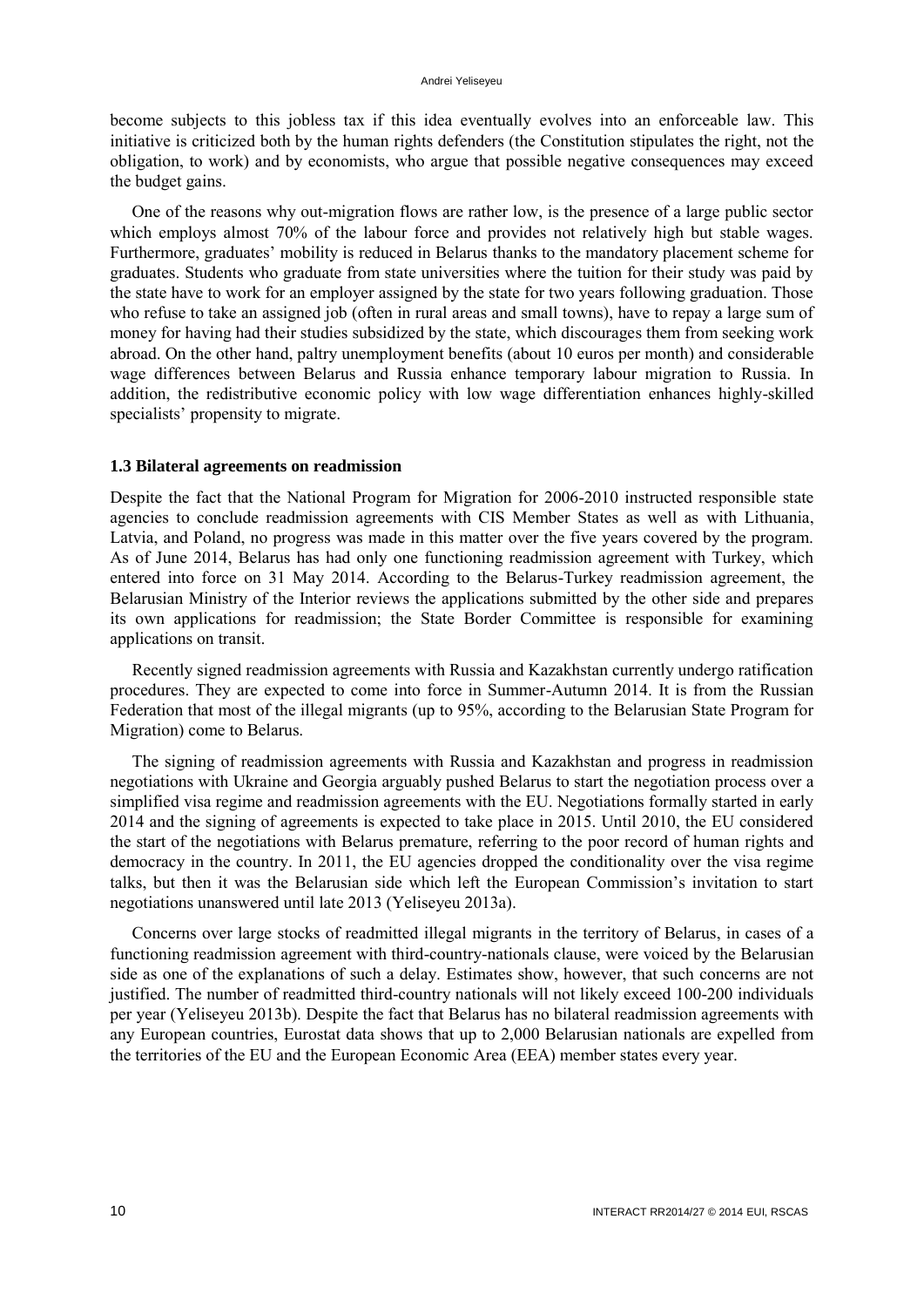become subjects to this jobless tax if this idea eventually evolves into an enforceable law. This initiative is criticized both by the human rights defenders (the Constitution stipulates the right, not the obligation, to work) and by economists, who argue that possible negative consequences may exceed the budget gains.

One of the reasons why out-migration flows are rather low, is the presence of a large public sector which employs almost 70% of the labour force and provides not relatively high but stable wages. Furthermore, graduates' mobility is reduced in Belarus thanks to the mandatory placement scheme for graduates. Students who graduate from state universities where the tuition for their study was paid by the state have to work for an employer assigned by the state for two years following graduation. Those who refuse to take an assigned job (often in rural areas and small towns), have to repay a large sum of money for having had their studies subsidized by the state, which discourages them from seeking work abroad. On the other hand, paltry unemployment benefits (about 10 euros per month) and considerable wage differences between Belarus and Russia enhance temporary labour migration to Russia. In addition, the redistributive economic policy with low wage differentiation enhances highly-skilled specialists' propensity to migrate.

## <span id="page-11-0"></span>**1.3 Bilateral agreements on readmission**

Despite the fact that the National Program for Migration for 2006-2010 instructed responsible state agencies to conclude readmission agreements with CIS Member States as well as with Lithuania, Latvia, and Poland, no progress was made in this matter over the five years covered by the program. As of June 2014, Belarus has had only one functioning readmission agreement with Turkey, which entered into force on 31 May 2014. According to the Belarus-Turkey readmission agreement, the Belarusian Ministry of the Interior reviews the applications submitted by the other side and prepares its own applications for readmission; the State Border Committee is responsible for examining applications on transit.

Recently signed readmission agreements with Russia and Kazakhstan currently undergo ratification procedures. They are expected to come into force in Summer-Autumn 2014. It is from the Russian Federation that most of the illegal migrants (up to 95%, according to the Belarusian State Program for Migration) come to Belarus.

The signing of readmission agreements with Russia and Kazakhstan and progress in readmission negotiations with Ukraine and Georgia arguably pushed Belarus to start the negotiation process over a simplified visa regime and readmission agreements with the EU. Negotiations formally started in early 2014 and the signing of agreements is expected to take place in 2015. Until 2010, the EU considered the start of the negotiations with Belarus premature, referring to the poor record of human rights and democracy in the country. In 2011, the EU agencies dropped the conditionality over the visa regime talks, but then it was the Belarusian side which left the European Commission's invitation to start negotiations unanswered until late 2013 (Yeliseyeu 2013a).

Concerns over large stocks of readmitted illegal migrants in the territory of Belarus, in cases of a functioning readmission agreement with third-country-nationals clause, were voiced by the Belarusian side as one of the explanations of such a delay. Estimates show, however, that such concerns are not justified. The number of readmitted third-country nationals will not likely exceed 100-200 individuals per year (Yeliseyeu 2013b). Despite the fact that Belarus has no bilateral readmission agreements with any European countries, Eurostat data shows that up to 2,000 Belarusian nationals are expelled from the territories of the EU and the European Economic Area (EEA) member states every year.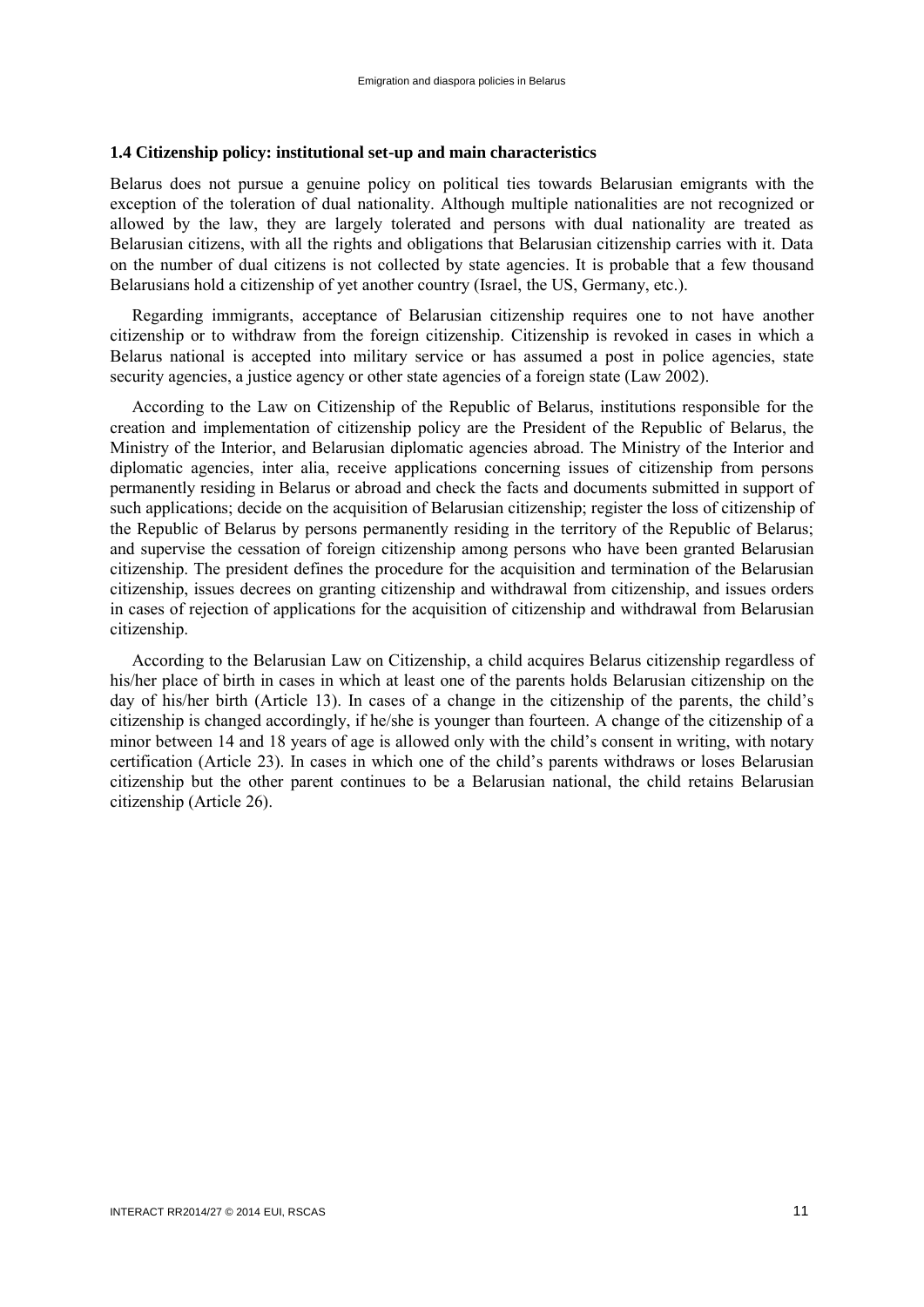#### <span id="page-12-0"></span>**1.4 Citizenship policy: institutional set-up and main characteristics**

Belarus does not pursue a genuine policy on political ties towards Belarusian emigrants with the exception of the toleration of dual nationality. Although multiple nationalities are not recognized or allowed by the law, they are largely tolerated and persons with dual nationality are treated as Belarusian citizens, with all the rights and obligations that Belarusian citizenship carries with it. Data on the number of dual citizens is not collected by state agencies. It is probable that a few thousand Belarusians hold a citizenship of yet another country (Israel, the US, Germany, etc.).

Regarding immigrants, acceptance of Belarusian citizenship requires one to not have another citizenship or to withdraw from the foreign citizenship. Citizenship is revoked in cases in which a Belarus national is accepted into military service or has assumed a post in police agencies, state security agencies, a justice agency or other state agencies of a foreign state (Law 2002).

According to the Law on Citizenship of the Republic of Belarus, institutions responsible for the creation and implementation of citizenship policy are the President of the Republic of Belarus, the Ministry of the Interior, and Belarusian diplomatic agencies abroad. The Ministry of the Interior and diplomatic agencies, inter alia, receive applications concerning issues of citizenship from persons permanently residing in Belarus or abroad and check the facts and documents submitted in support of such applications; decide on the acquisition of Belarusian citizenship; register the loss of citizenship of the Republic of Belarus by persons permanently residing in the territory of the Republic of Belarus; and supervise the cessation of foreign citizenship among persons who have been granted Belarusian citizenship. The president defines the procedure for the acquisition and termination of the Belarusian citizenship, issues decrees on granting citizenship and withdrawal from citizenship, and issues orders in cases of rejection of applications for the acquisition of citizenship and withdrawal from Belarusian citizenship.

According to the Belarusian Law on Citizenship, a child acquires Belarus citizenship regardless of his/her place of birth in cases in which at least one of the parents holds Belarusian citizenship on the day of his/her birth (Article 13). In cases of a change in the citizenship of the parents, the child's citizenship is changed accordingly, if he/she is younger than fourteen. A change of the citizenship of a minor between 14 and 18 years of age is allowed only with the child's consent in writing, with notary certification (Article 23). In cases in which one of the child's parents withdraws or loses Belarusian citizenship but the other parent continues to be a Belarusian national, the child retains Belarusian citizenship (Article 26).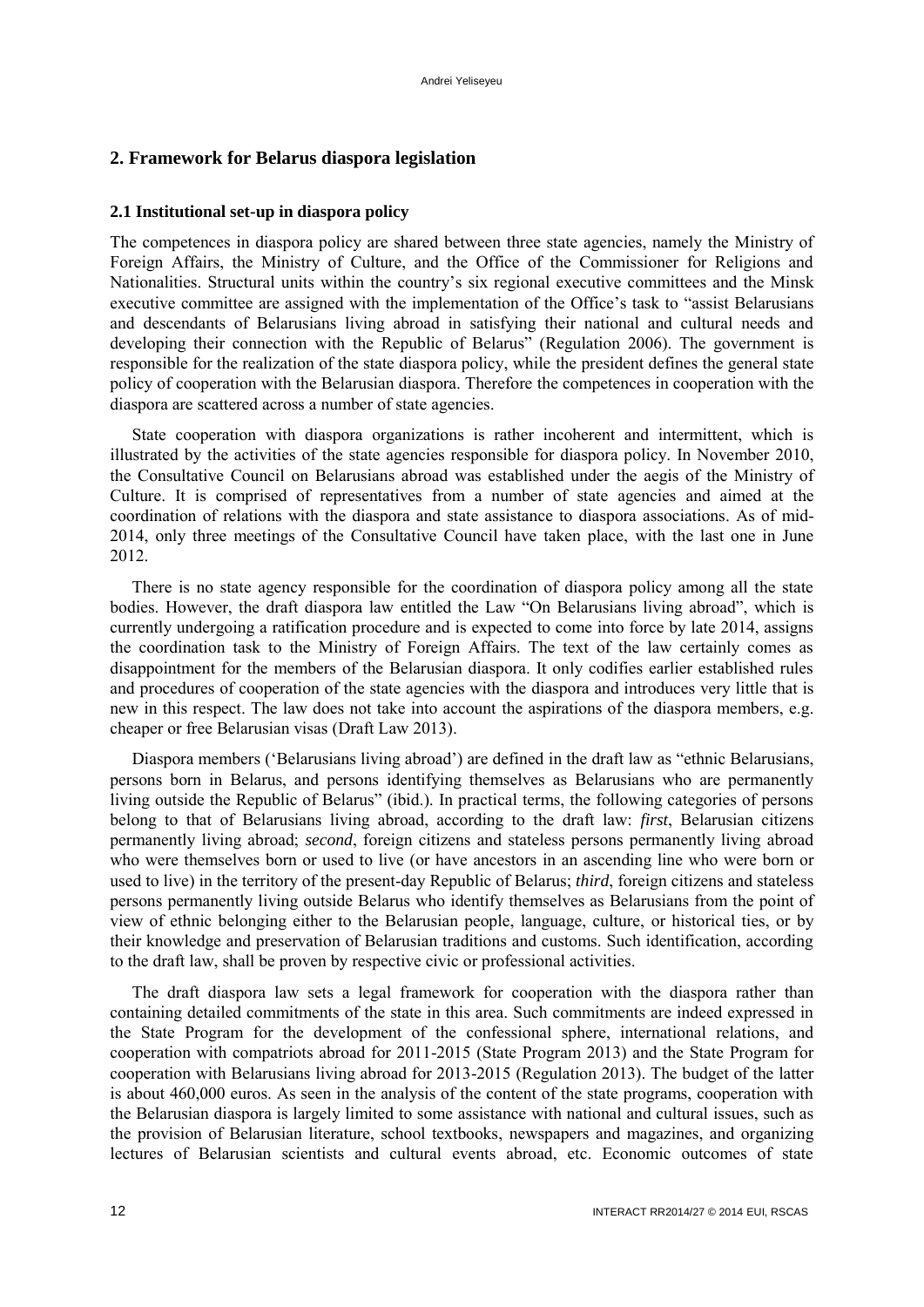# <span id="page-13-1"></span><span id="page-13-0"></span>**2. Framework for Belarus diaspora legislation**

## **2.1 Institutional set-up in diaspora policy**

The competences in diaspora policy are shared between three state agencies, namely the Ministry of Foreign Affairs, the Ministry of Culture, and the Office of the Commissioner for Religions and Nationalities. Structural units within the country's six regional executive committees and the Minsk executive committee are assigned with the implementation of the Office's task to "assist Belarusians and descendants of Belarusians living abroad in satisfying their national and cultural needs and developing their connection with the Republic of Belarus" (Regulation 2006). The government is responsible for the realization of the state diaspora policy, while the president defines the general state policy of cooperation with the Belarusian diaspora. Therefore the competences in cooperation with the diaspora are scattered across a number of state agencies.

State cooperation with diaspora organizations is rather incoherent and intermittent, which is illustrated by the activities of the state agencies responsible for diaspora policy. In November 2010, the Consultative Council on Belarusians abroad was established under the aegis of the Ministry of Culture. It is comprised of representatives from a number of state agencies and aimed at the coordination of relations with the diaspora and state assistance to diaspora associations. As of mid-2014, only three meetings of the Consultative Council have taken place, with the last one in June 2012.

There is no state agency responsible for the coordination of diaspora policy among all the state bodies. However, the draft diaspora law entitled the Law "On Belarusians living abroad", which is currently undergoing a ratification procedure and is expected to come into force by late 2014, assigns the coordination task to the Ministry of Foreign Affairs. The text of the law certainly comes as disappointment for the members of the Belarusian diaspora. It only codifies earlier established rules and procedures of cooperation of the state agencies with the diaspora and introduces very little that is new in this respect. The law does not take into account the aspirations of the diaspora members, e.g. cheaper or free Belarusian visas (Draft Law 2013).

Diaspora members ('Belarusians living abroad') are defined in the draft law as "ethnic Belarusians, persons born in Belarus, and persons identifying themselves as Belarusians who are permanently living outside the Republic of Belarus" (ibid.). In practical terms, the following categories of persons belong to that of Belarusians living abroad, according to the draft law: *first*, Belarusian citizens permanently living abroad; *second*, foreign citizens and stateless persons permanently living abroad who were themselves born or used to live (or have ancestors in an ascending line who were born or used to live) in the territory of the present-day Republic of Belarus; *third*, foreign citizens and stateless persons permanently living outside Belarus who identify themselves as Belarusians from the point of view of ethnic belonging either to the Belarusian people, language, culture, or historical ties, or by their knowledge and preservation of Belarusian traditions and customs. Such identification, according to the draft law, shall be proven by respective civic or professional activities.

The draft diaspora law sets a legal framework for cooperation with the diaspora rather than containing detailed commitments of the state in this area. Such commitments are indeed expressed in the State Program for the development of the confessional sphere, international relations, and cooperation with compatriots abroad for 2011-2015 (State Program 2013) and the State Program for cooperation with Belarusians living abroad for 2013-2015 (Regulation 2013). The budget of the latter is about 460,000 euros. As seen in the analysis of the content of the state programs, cooperation with the Belarusian diaspora is largely limited to some assistance with national and cultural issues, such as the provision of Belarusian literature, school textbooks, newspapers and magazines, and organizing lectures of Belarusian scientists and cultural events abroad, etc. Economic outcomes of state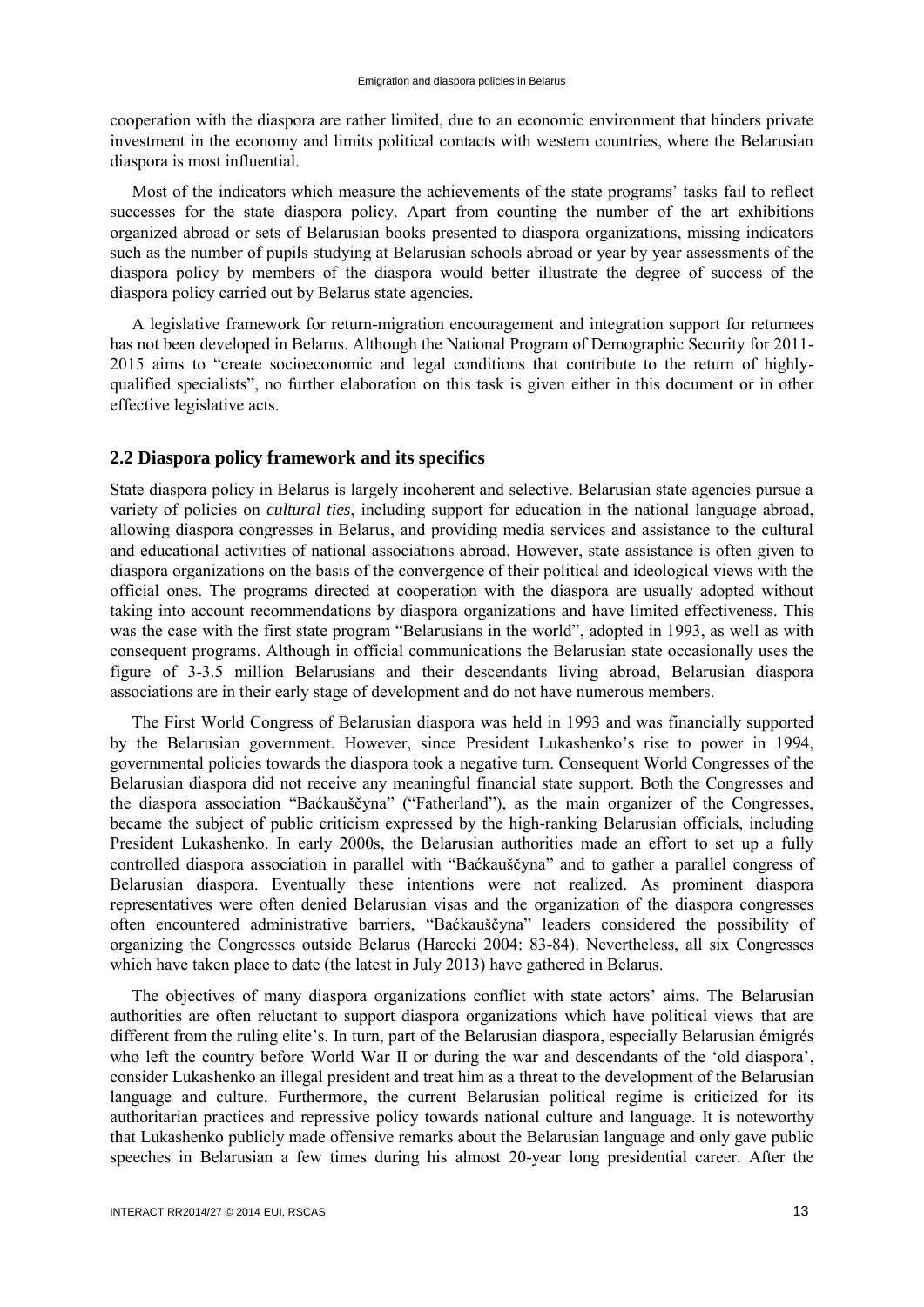cooperation with the diaspora are rather limited, due to an economic environment that hinders private investment in the economy and limits political contacts with western countries, where the Belarusian diaspora is most influential.

Most of the indicators which measure the achievements of the state programs' tasks fail to reflect successes for the state diaspora policy. Apart from counting the number of the art exhibitions organized abroad or sets of Belarusian books presented to diaspora organizations, missing indicators such as the number of pupils studying at Belarusian schools abroad or year by year assessments of the diaspora policy by members of the diaspora would better illustrate the degree of success of the diaspora policy carried out by Belarus state agencies.

A legislative framework for return-migration encouragement and integration support for returnees has not been developed in Belarus. Although the National Program of Demographic Security for 2011- 2015 aims to "create socioeconomic and legal conditions that contribute to the return of highlyqualified specialists", no further elaboration on this task is given either in this document or in other effective legislative acts.

# <span id="page-14-0"></span>**2.2 Diaspora policy framework and its specifics**

State diaspora policy in Belarus is largely incoherent and selective. Belarusian state agencies pursue a variety of policies on *cultural ties*, including support for education in the national language abroad, allowing diaspora congresses in Belarus, and providing media services and assistance to the cultural and educational activities of national associations abroad. However, state assistance is often given to diaspora organizations on the basis of the convergence of their political and ideological views with the official ones. The programs directed at cooperation with the diaspora are usually adopted without taking into account recommendations by diaspora organizations and have limited effectiveness. This was the case with the first state program "Belarusians in the world", adopted in 1993, as well as with consequent programs. Although in official communications the Belarusian state occasionally uses the figure of 3-3.5 million Belarusians and their descendants living abroad, Belarusian diaspora associations are in their early stage of development and do not have numerous members.

The First World Congress of Belarusian diaspora was held in 1993 and was financially supported by the Belarusian government. However, since President Lukashenko's rise to power in 1994, governmental policies towards the diaspora took a negative turn. Consequent World Congresses of the Belarusian diaspora did not receive any meaningful financial state support. Both the Congresses and the diaspora association "Baćkauščyna" ("Fatherland"), as the main organizer of the Congresses, became the subject of public criticism expressed by the high-ranking Belarusian officials, including President Lukashenko. In early 2000s, the Belarusian authorities made an effort to set up a fully controlled diaspora association in parallel with "Baćkauščyna" and to gather a parallel congress of Belarusian diaspora. Eventually these intentions were not realized. As prominent diaspora representatives were often denied Belarusian visas and the organization of the diaspora congresses often encountered administrative barriers, "Baćkauščyna" leaders considered the possibility of organizing the Congresses outside Belarus (Harecki 2004: 83-84). Nevertheless, all six Congresses which have taken place to date (the latest in July 2013) have gathered in Belarus.

The objectives of many diaspora organizations conflict with state actors' aims. The Belarusian authorities are often reluctant to support diaspora organizations which have political views that are different from the ruling elite's. In turn, part of the Belarusian diaspora, especially Belarusian émigrés who left the country before World War II or during the war and descendants of the 'old diaspora', consider Lukashenko an illegal president and treat him as a threat to the development of the Belarusian language and culture. Furthermore, the current Belarusian political regime is criticized for its authoritarian practices and repressive policy towards national culture and language. It is noteworthy that Lukashenko publicly made offensive remarks about the Belarusian language and only gave public speeches in Belarusian a few times during his almost 20-year long presidential career. After the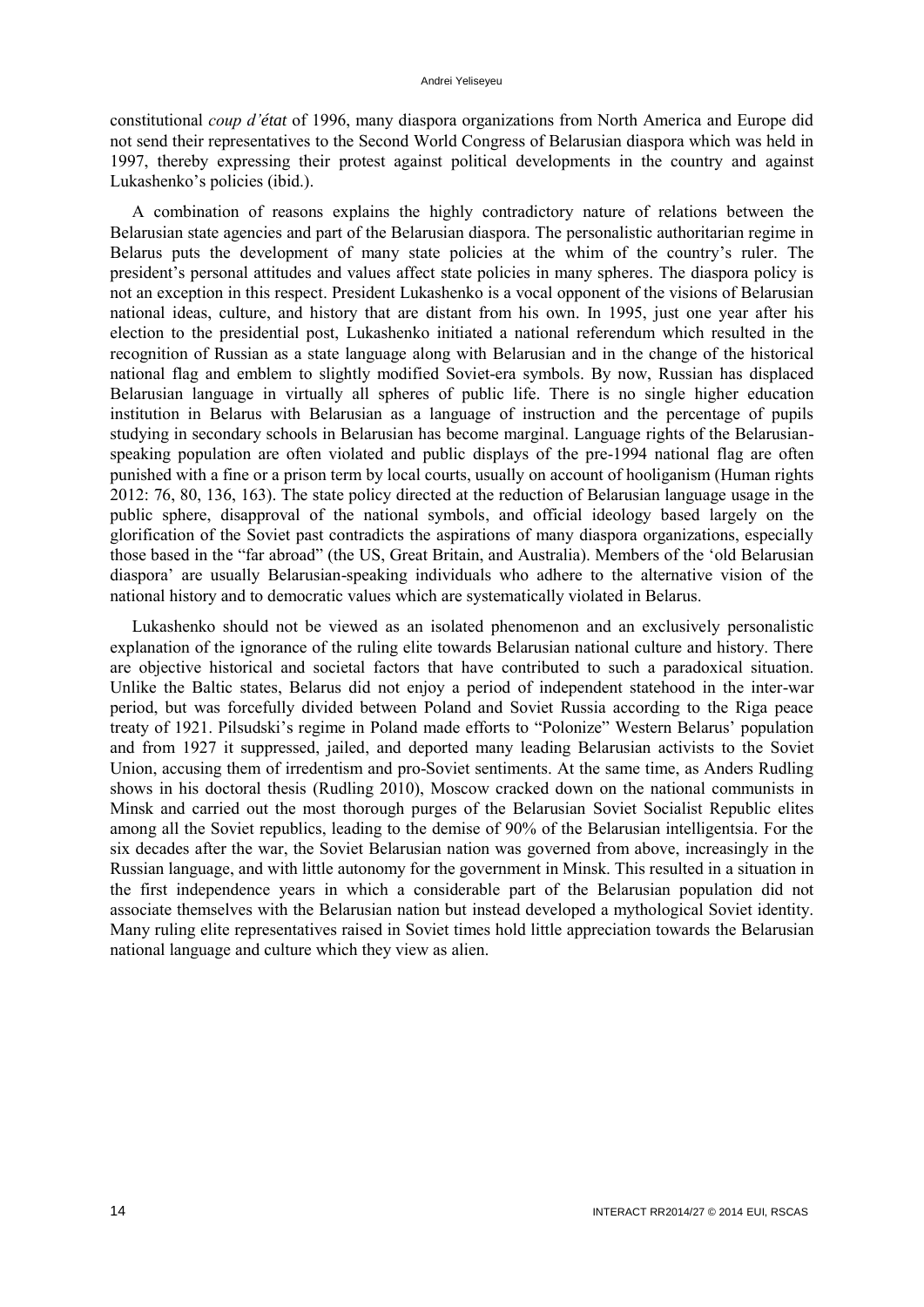constitutional *coup d'état* of 1996, many diaspora organizations from North America and Europe did not send their representatives to the Second World Congress of Belarusian diaspora which was held in 1997, thereby expressing their protest against political developments in the country and against Lukashenko's policies (ibid.).

A combination of reasons explains the highly contradictory nature of relations between the Belarusian state agencies and part of the Belarusian diaspora. The personalistic authoritarian regime in Belarus puts the development of many state policies at the whim of the country's ruler. The president's personal attitudes and values affect state policies in many spheres. The diaspora policy is not an exception in this respect. President Lukashenko is a vocal opponent of the visions of Belarusian national ideas, culture, and history that are distant from his own. In 1995, just one year after his election to the presidential post, Lukashenko initiated a national referendum which resulted in the recognition of Russian as a state language along with Belarusian and in the change of the historical national flag and emblem to slightly modified Soviet-era symbols. By now, Russian has displaced Belarusian language in virtually all spheres of public life. There is no single higher education institution in Belarus with Belarusian as a language of instruction and the percentage of pupils studying in secondary schools in Belarusian has become marginal. Language rights of the Belarusianspeaking population are often violated and public displays of the pre-1994 national flag are often punished with a fine or a prison term by local courts, usually on account of hooliganism (Human rights 2012: 76, 80, 136, 163). The state policy directed at the reduction of Belarusian language usage in the public sphere, disapproval of the national symbols, and official ideology based largely on the glorification of the Soviet past contradicts the aspirations of many diaspora organizations, especially those based in the "far abroad" (the US, Great Britain, and Australia). Members of the 'old Belarusian diaspora' are usually Belarusian-speaking individuals who adhere to the alternative vision of the national history and to democratic values which are systematically violated in Belarus.

Lukashenko should not be viewed as an isolated phenomenon and an exclusively personalistic explanation of the ignorance of the ruling elite towards Belarusian national culture and history. There are objective historical and societal factors that have contributed to such a paradoxical situation. Unlike the Baltic states, Belarus did not enjoy a period of independent statehood in the inter-war period, but was forcefully divided between Poland and Soviet Russia according to the Riga peace treaty of 1921. Pilsudski's regime in Poland made efforts to "Polonize" Western Belarus' population and from 1927 it suppressed, jailed, and deported many leading Belarusian activists to the Soviet Union, accusing them of irredentism and pro-Soviet sentiments. At the same time, as Anders Rudling shows in his doctoral thesis (Rudling 2010), Moscow cracked down on the national communists in Minsk and carried out the most thorough purges of the Belarusian Soviet Socialist Republic elites among all the Soviet republics, leading to the demise of 90% of the Belarusian intelligentsia. For the six decades after the war, the Soviet Belarusian nation was governed from above, increasingly in the Russian language, and with little autonomy for the government in Minsk. This resulted in a situation in the first independence years in which a considerable part of the Belarusian population did not associate themselves with the Belarusian nation but instead developed a mythological Soviet identity. Many ruling elite representatives raised in Soviet times hold little appreciation towards the Belarusian national language and culture which they view as alien.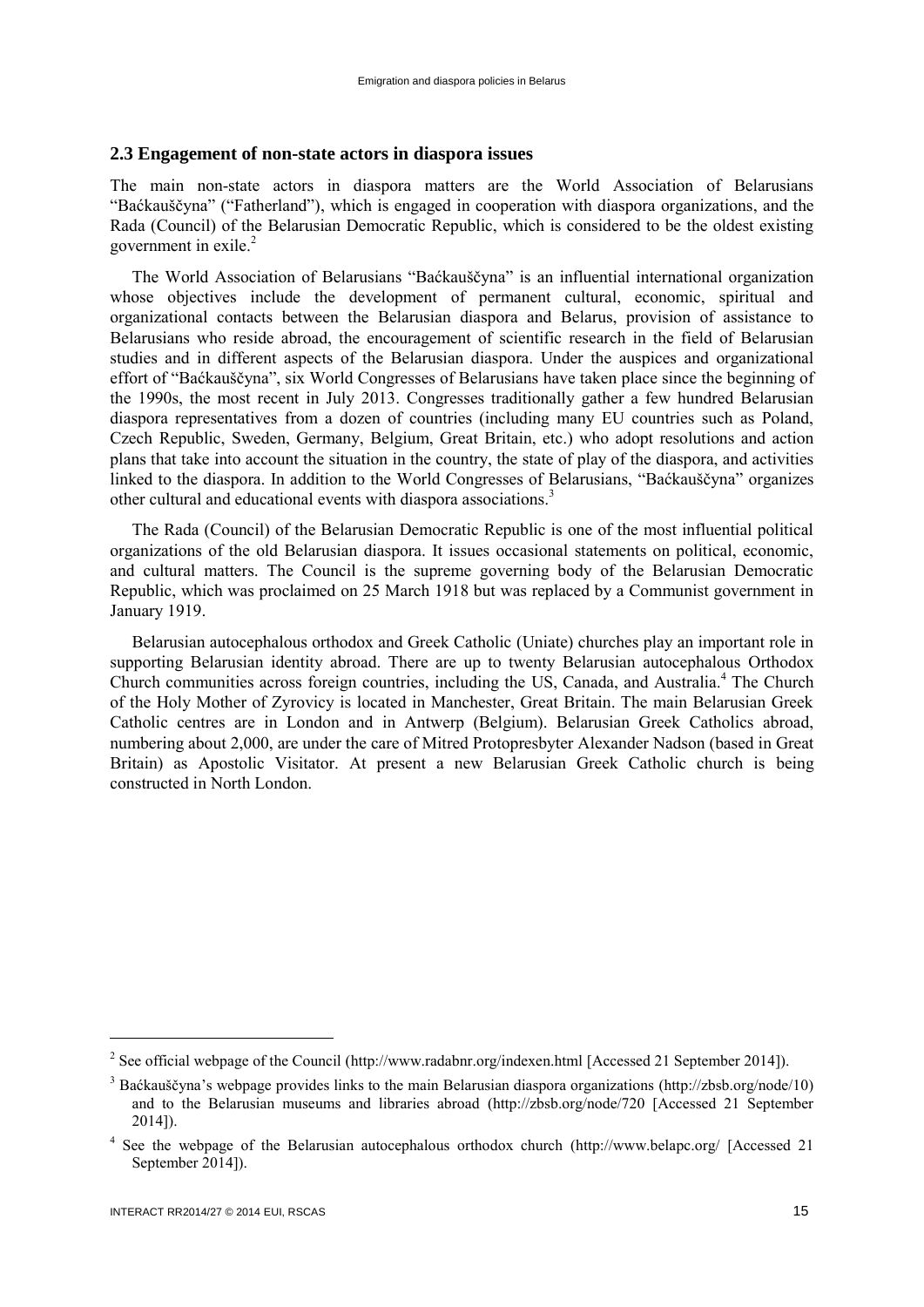# <span id="page-16-0"></span>**2.3 Engagement of non-state actors in diaspora issues**

The main non-state actors in diaspora matters are the World Association of Belarusians "Baćkauščyna" ("Fatherland"), which is engaged in cooperation with diaspora organizations, and the Rada (Council) of the Belarusian Democratic Republic, which is considered to be the oldest existing government in exile.<sup>2</sup>

The World Association of Belarusians "Baćkauščyna" is an influential international organization whose objectives include the development of permanent cultural, economic, spiritual and organizational contacts between the Belarusian diaspora and Belarus, provision of assistance to Belarusians who reside abroad, the encouragement of scientific research in the field of Belarusian studies and in different aspects of the Belarusian diaspora. Under the auspices and organizational effort of "Baćkauščyna", six World Congresses of Belarusians have taken place since the beginning of the 1990s, the most recent in July 2013. Congresses traditionally gather a few hundred Belarusian diaspora representatives from a dozen of countries (including many EU countries such as Poland, Czech Republic, Sweden, Germany, Belgium, Great Britain, etc.) who adopt resolutions and action plans that take into account the situation in the country, the state of play of the diaspora, and activities linked to the diaspora. In addition to the World Congresses of Belarusians, "Baćkauščyna" organizes other cultural and educational events with diaspora associations.<sup>3</sup>

The Rada (Council) of the Belarusian Democratic Republic is one of the most influential political organizations of the old Belarusian diaspora. It issues occasional statements on political, economic, and cultural matters. The Council is the supreme governing body of the Belarusian Democratic Republic, which was proclaimed on 25 March 1918 but was replaced by a Communist government in January 1919.

Belarusian autocephalous orthodox and Greek Catholic (Uniate) churches play an important role in supporting Belarusian identity abroad. There are up to twenty Belarusian autocephalous Orthodox Church communities across foreign countries, including the US, Canada, and Australia.<sup>4</sup> The Church of the Holy Mother of Zyrovicy is located in Manchester, Great Britain. The main Belarusian Greek Catholic centres are in London and in Antwerp (Belgium). Belarusian Greek Catholics abroad, numbering about 2,000, are under the care of Mitred Protopresbyter Alexander Nadson (based in Great Britain) as Apostolic Visitator. At present a new Belarusian Greek Catholic church is being constructed in North London.

 $\overline{a}$ 

<sup>&</sup>lt;sup>2</sup> See official webpage of the Council [\(http://www.radabnr.org/indexen.html](http://www.radabnr.org/indexen.html) [Accessed 21 September 2014]).

<sup>3</sup> Baćkauščyna's webpage provides links to the main Belarusian diaspora organizations [\(http://zbsb.org/node/10\)](http://zbsb.org/node/10) and to the Belarusian museums and libraries abroad [\(http://zbsb.org/node/720](http://zbsb.org/node/720) [Accessed 21 September 2014]).

<sup>&</sup>lt;sup>4</sup> See the webpage of the Belarusian autocephalous orthodox church (http://www.belapc.org/ [Accessed 21 September 2014]).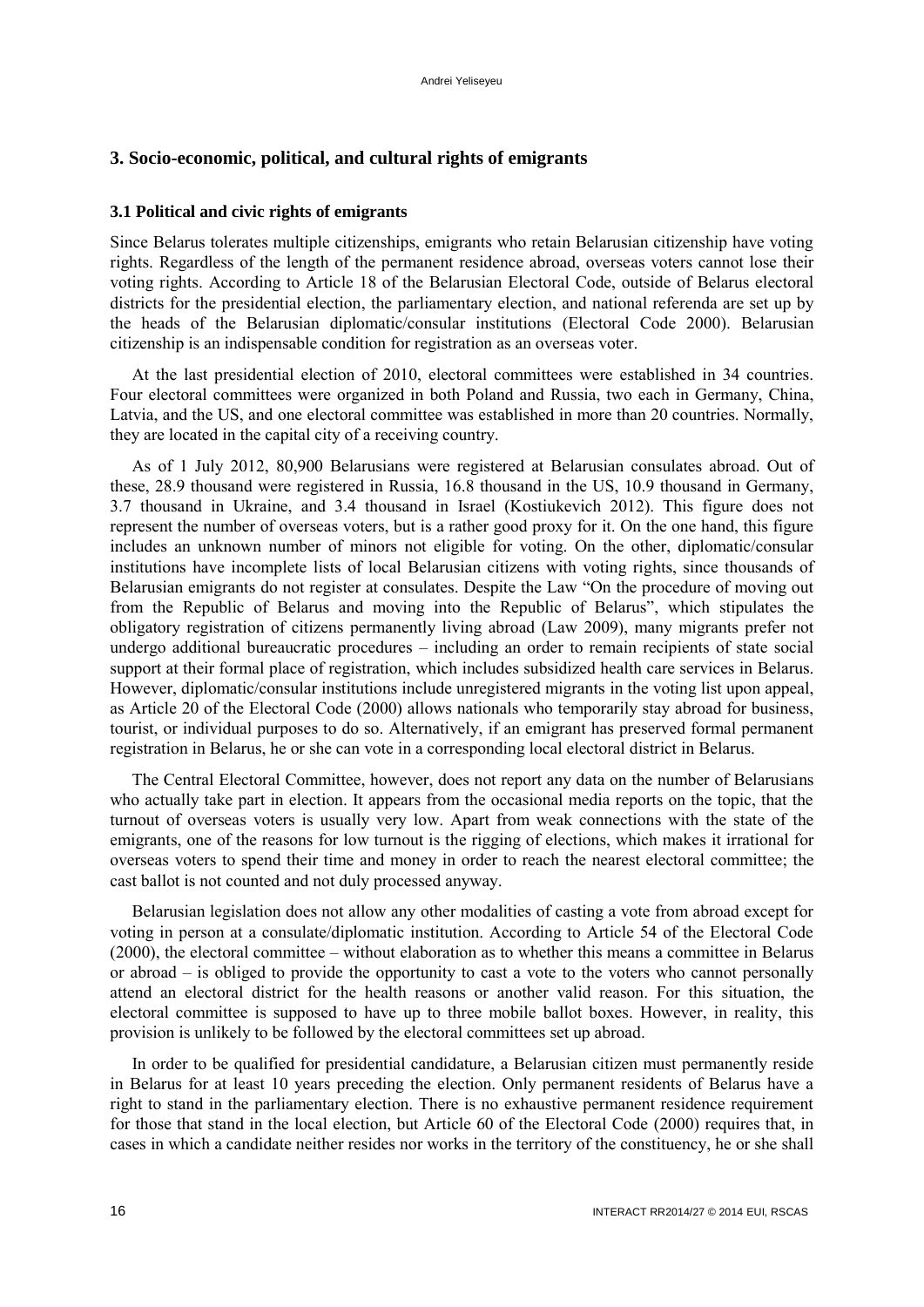# <span id="page-17-1"></span><span id="page-17-0"></span>**3. Socio-economic, political, and cultural rights of emigrants**

# **3.1 Political and civic rights of emigrants**

Since Belarus tolerates multiple citizenships, emigrants who retain Belarusian citizenship have voting rights. Regardless of the length of the permanent residence abroad, overseas voters cannot lose their voting rights. According to Article 18 of the Belarusian Electoral Code, outside of Belarus electoral districts for the presidential election, the parliamentary election, and national referenda are set up by the heads of the Belarusian diplomatic/consular institutions (Electoral Code 2000). Belarusian citizenship is an indispensable condition for registration as an overseas voter.

At the last presidential election of 2010, electoral committees were established in 34 countries. Four electoral committees were organized in both Poland and Russia, two each in Germany, China, Latvia, and the US, and one electoral committee was established in more than 20 countries. Normally, they are located in the capital city of a receiving country.

As of 1 July 2012, 80,900 Belarusians were registered at Belarusian consulates abroad. Out of these, 28.9 thousand were registered in Russia, 16.8 thousand in the US, 10.9 thousand in Germany, 3.7 thousand in Ukraine, and 3.4 thousand in Israel (Kostiukevich 2012). This figure does not represent the number of overseas voters, but is a rather good proxy for it. On the one hand, this figure includes an unknown number of minors not eligible for voting. On the other, diplomatic/consular institutions have incomplete lists of local Belarusian citizens with voting rights, since thousands of Belarusian emigrants do not register at consulates. Despite the Law "On the procedure of moving out from the Republic of Belarus and moving into the Republic of Belarus", which stipulates the obligatory registration of citizens permanently living abroad (Law 2009), many migrants prefer not undergo additional bureaucratic procedures – including an order to remain recipients of state social support at their formal place of registration, which includes subsidized health care services in Belarus. However, diplomatic/consular institutions include unregistered migrants in the voting list upon appeal, as Article 20 of the Electoral Code (2000) allows nationals who temporarily stay abroad for business, tourist, or individual purposes to do so. Alternatively, if an emigrant has preserved formal permanent registration in Belarus, he or she can vote in a corresponding local electoral district in Belarus.

The Central Electoral Committee, however, does not report any data on the number of Belarusians who actually take part in election. It appears from the occasional media reports on the topic, that the turnout of overseas voters is usually very low. Apart from weak connections with the state of the emigrants, one of the reasons for low turnout is the rigging of elections, which makes it irrational for overseas voters to spend their time and money in order to reach the nearest electoral committee; the cast ballot is not counted and not duly processed anyway.

Belarusian legislation does not allow any other modalities of casting a vote from abroad except for voting in person at a consulate/diplomatic institution. According to Article 54 of the Electoral Code (2000), the electoral committee – without elaboration as to whether this means a committee in Belarus or abroad – is obliged to provide the opportunity to cast a vote to the voters who cannot personally attend an electoral district for the health reasons or another valid reason. For this situation, the electoral committee is supposed to have up to three mobile ballot boxes. However, in reality, this provision is unlikely to be followed by the electoral committees set up abroad.

In order to be qualified for presidential candidature, a Belarusian citizen must permanently reside in Belarus for at least 10 years preceding the election. Only permanent residents of Belarus have a right to stand in the parliamentary election. There is no exhaustive permanent residence requirement for those that stand in the local election, but Article 60 of the Electoral Code (2000) requires that, in cases in which a candidate neither resides nor works in the territory of the constituency, he or she shall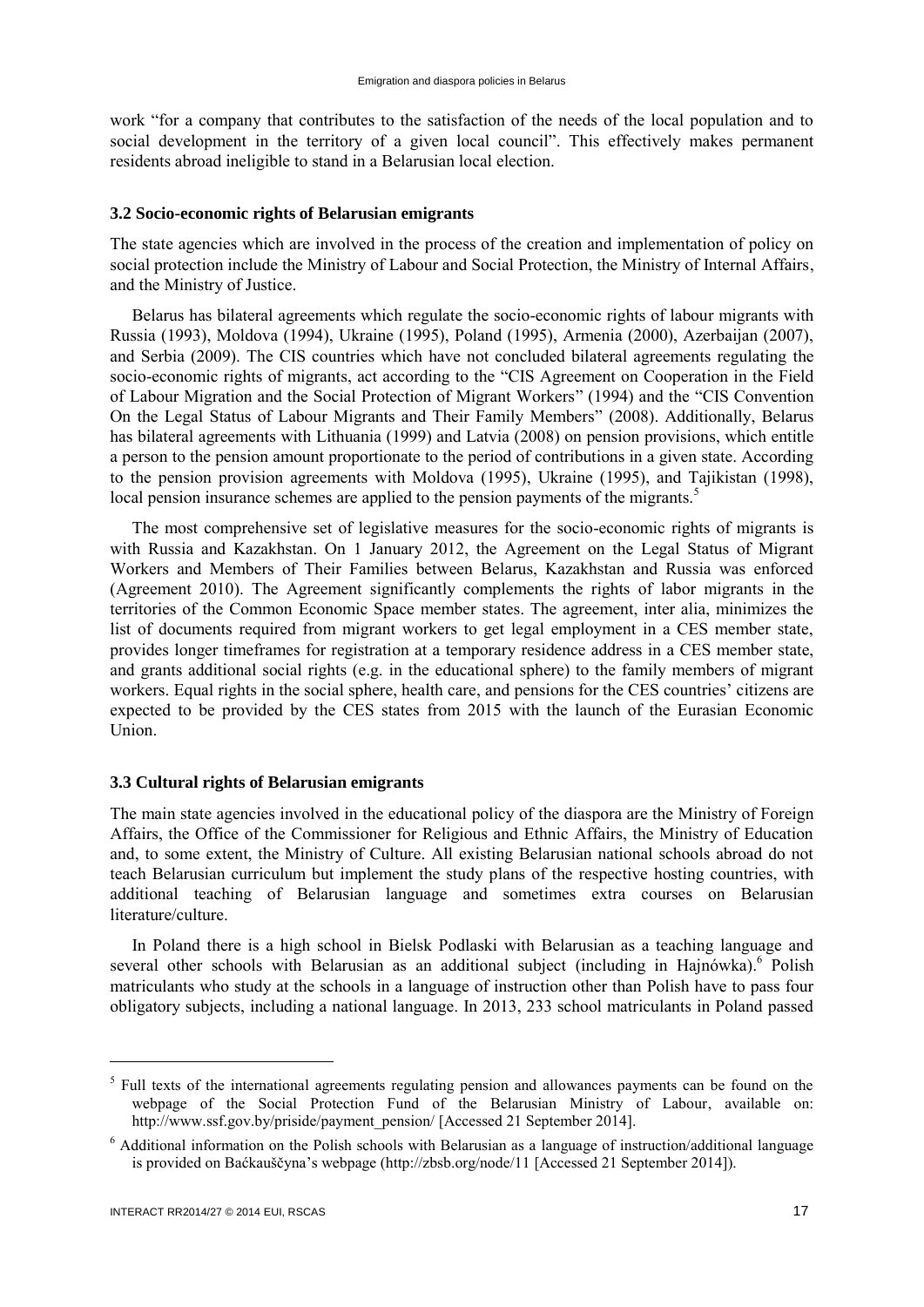work "for a company that contributes to the satisfaction of the needs of the local population and to social development in the territory of a given local council". This effectively makes permanent residents abroad ineligible to stand in a Belarusian local election.

# <span id="page-18-0"></span>**3.2 Socio-economic rights of Belarusian emigrants**

The state agencies which are involved in the process of the creation and implementation of policy on social protection include the Ministry of Labour and Social Protection, the Ministry of Internal Affairs, and the Ministry of Justice.

Belarus has bilateral agreements which regulate the socio-economic rights of labour migrants with Russia (1993), Moldova (1994), Ukraine (1995), Poland (1995), Armenia (2000), Azerbaijan (2007), and Serbia (2009). The CIS countries which have not concluded bilateral agreements regulating the socio-economic rights of migrants, act according to the "CIS Agreement on Cooperation in the Field of Labour Migration and the Social Protection of Migrant Workers" (1994) and the "CIS Convention On the Legal Status of Labour Migrants and Their Family Members" (2008). Additionally, Belarus has bilateral agreements with Lithuania (1999) and Latvia (2008) on pension provisions, which entitle a person to the pension amount proportionate to the period of contributions in a given state. According to the pension provision agreements with Moldova (1995), Ukraine (1995), and Tajikistan (1998), local pension insurance schemes are applied to the pension payments of the migrants.<sup>5</sup>

The most comprehensive set of legislative measures for the socio-economic rights of migrants is with Russia and Kazakhstan. On 1 January 2012, the Agreement on the Legal Status of Migrant Workers and Members of Their Families between Belarus, Kazakhstan and Russia was enforced (Agreement 2010). The Agreement significantly complements the rights of labor migrants in the territories of the Common Economic Space member states. The agreement, inter alia, minimizes the list of documents required from migrant workers to get legal employment in a CES member state, provides longer timeframes for registration at a temporary residence address in a CES member state, and grants additional social rights (e.g. in the educational sphere) to the family members of migrant workers. Equal rights in the social sphere, health care, and pensions for the CES countries' citizens are expected to be provided by the CES states from 2015 with the launch of the Eurasian Economic Union.

#### <span id="page-18-1"></span>**3.3 Cultural rights of Belarusian emigrants**

The main state agencies involved in the educational policy of the diaspora are the Ministry of Foreign Affairs, the Office of the Commissioner for Religious and Ethnic Affairs, the Ministry of Education and, to some extent, the Ministry of Culture. All existing Belarusian national schools abroad do not teach Belarusian curriculum but implement the study plans of the respective hosting countries, with additional teaching of Belarusian language and sometimes extra courses on Belarusian literature/culture.

In Poland there is a high school in Bielsk Podlaski with Belarusian as a teaching language and several other schools with Belarusian as an additional subject (including in Hajnówka). Polish matriculants who study at the schools in a language of instruction other than Polish have to pass four obligatory subjects, including a national language. In 2013, 233 school matriculants in Poland passed

 $\overline{a}$ 

<sup>&</sup>lt;sup>5</sup> Full texts of the international agreements regulating pension and allowances payments can be found on the webpage of the Social Protection Fund of the Belarusian Ministry of Labour, available on: http://www.ssf.gov.by/priside/payment\_pension/ [Accessed 21 September 2014].

<sup>6</sup> Additional information on the Polish schools with Belarusian as a language of instruction/additional language is provided on Baćkauščyna's webpage (http://zbsb.org/node/11 [Accessed 21 September 2014]).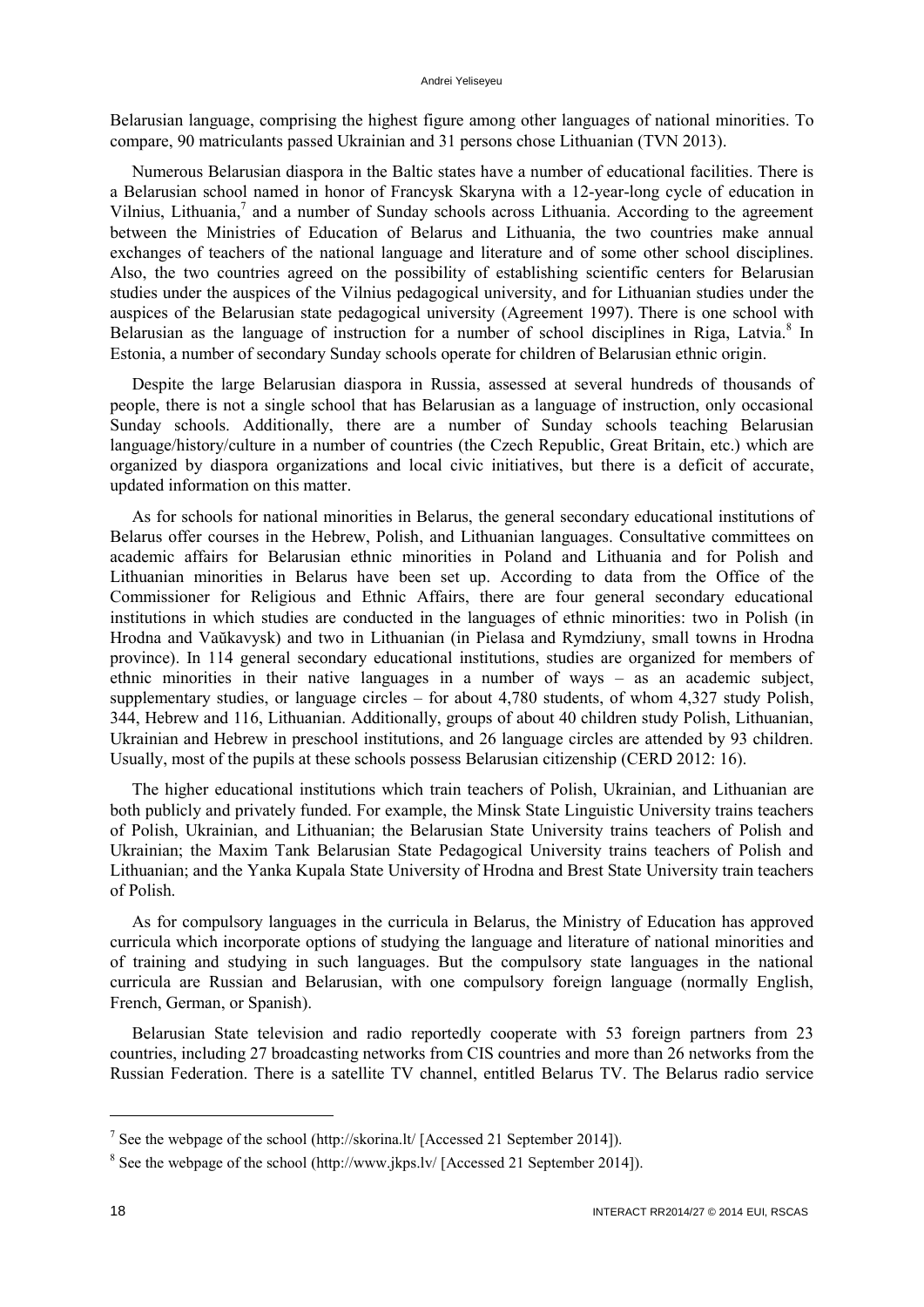#### Andrei Yeliseyeu

Belarusian language, comprising the highest figure among other languages of national minorities. To compare, 90 matriculants passed Ukrainian and 31 persons chose Lithuanian (TVN 2013).

Numerous Belarusian diaspora in the Baltic states have a number of educational facilities. There is a Belarusian school named in honor of Francysk Skaryna with a 12-year-long cycle of education in Vilnius, Lithuania, $7$  and a number of Sunday schools across Lithuania. According to the agreement between the Ministries of Education of Belarus and Lithuania, the two countries make annual exchanges of teachers of the national language and literature and of some other school disciplines. Also, the two countries agreed on the possibility of establishing scientific centers for Belarusian studies under the auspices of the Vilnius pedagogical university, and for Lithuanian studies under the auspices of the Belarusian state pedagogical university (Agreement 1997). There is one school with Belarusian as the language of instruction for a number of school disciplines in Riga, Latvia.<sup>8</sup> In Estonia, a number of secondary Sunday schools operate for children of Belarusian ethnic origin.

Despite the large Belarusian diaspora in Russia, assessed at several hundreds of thousands of people, there is not a single school that has Belarusian as a language of instruction, only occasional Sunday schools. Additionally, there are a number of Sunday schools teaching Belarusian language/history/culture in a number of countries (the Czech Republic, Great Britain, etc.) which are organized by diaspora organizations and local civic initiatives, but there is a deficit of accurate, updated information on this matter.

As for schools for national minorities in Belarus, the general secondary educational institutions of Belarus offer courses in the Hebrew, Polish, and Lithuanian languages. Consultative committees on academic affairs for Belarusian ethnic minorities in Poland and Lithuania and for Polish and Lithuanian minorities in Belarus have been set up. According to data from the Office of the Commissioner for Religious and Ethnic Affairs, there are four general secondary educational institutions in which studies are conducted in the languages of ethnic minorities: two in Polish (in Hrodna and Vaŭkavysk) and two in Lithuanian (in Pielasa and Rymdziuny, small towns in Hrodna province). In 114 general secondary educational institutions, studies are organized for members of ethnic minorities in their native languages in a number of ways – as an academic subject, supplementary studies, or language circles – for about 4,780 students, of whom 4,327 study Polish, 344, Hebrew and 116, Lithuanian. Additionally, groups of about 40 children study Polish, Lithuanian, Ukrainian and Hebrew in preschool institutions, and 26 language circles are attended by 93 children. Usually, most of the pupils at these schools possess Belarusian citizenship (CERD 2012: 16).

The higher educational institutions which train teachers of Polish, Ukrainian, and Lithuanian are both publicly and privately funded. For example, the Minsk State Linguistic University trains teachers of Polish, Ukrainian, and Lithuanian; the Belarusian State University trains teachers of Polish and Ukrainian; the Maxim Tank Belarusian State Pedagogical University trains teachers of Polish and Lithuanian; and the Yanka Kupala State University of Hrodna and Brest State University train teachers of Polish.

As for compulsory languages in the curricula in Belarus, the Ministry of Education has approved curricula which incorporate options of studying the language and literature of national minorities and of training and studying in such languages. But the compulsory state languages in the national curricula are Russian and Belarusian, with one compulsory foreign language (normally English, French, German, or Spanish).

Belarusian State television and radio reportedly cooperate with 53 foreign partners from 23 countries, including 27 broadcasting networks from CIS countries and more than 26 networks from the Russian Federation. There is a satellite TV channel, entitled Belarus TV. The Belarus radio service

 $\ddot{\phantom{a}}$ 

<sup>&</sup>lt;sup>7</sup> See the webpage of the school (http://skorina.lt/ [Accessed 21 September 2014]).

 $8$  See the webpage of the school (http://www.jkps.lv/ [Accessed 21 September 2014]).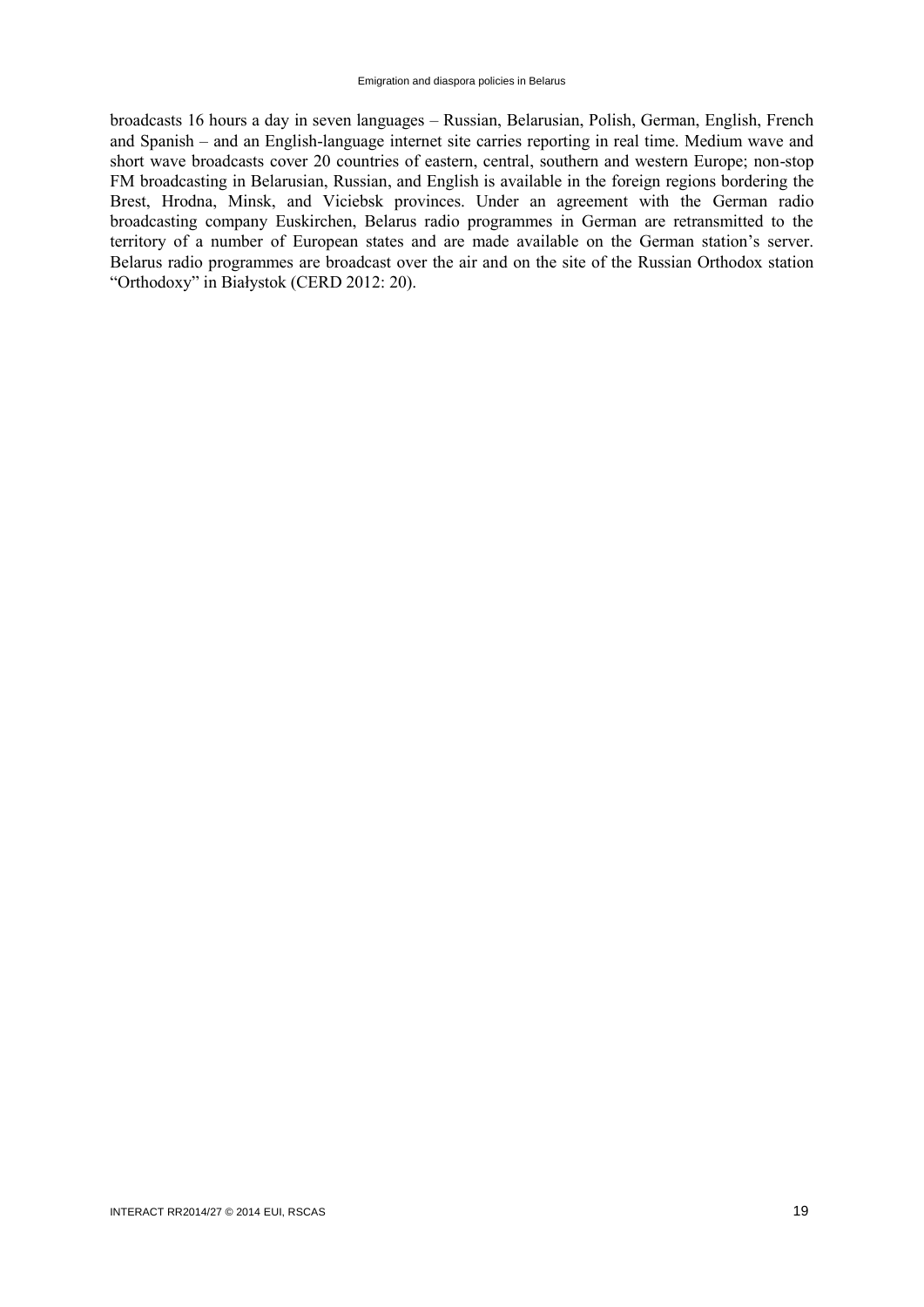broadcasts 16 hours a day in seven languages – Russian, Belarusian, Polish, German, English, French and Spanish – and an English-language internet site carries reporting in real time. Medium wave and short wave broadcasts cover 20 countries of eastern, central, southern and western Europe; non-stop FM broadcasting in Belarusian, Russian, and English is available in the foreign regions bordering the Brest, Hrodna, Minsk, and Viciebsk provinces. Under an agreement with the German radio broadcasting company Euskirchen, Belarus radio programmes in German are retransmitted to the territory of a number of European states and are made available on the German station's server. Belarus radio programmes are broadcast over the air and on the site of the Russian Orthodox station "Orthodoxy" in Białystok (CERD 2012: 20).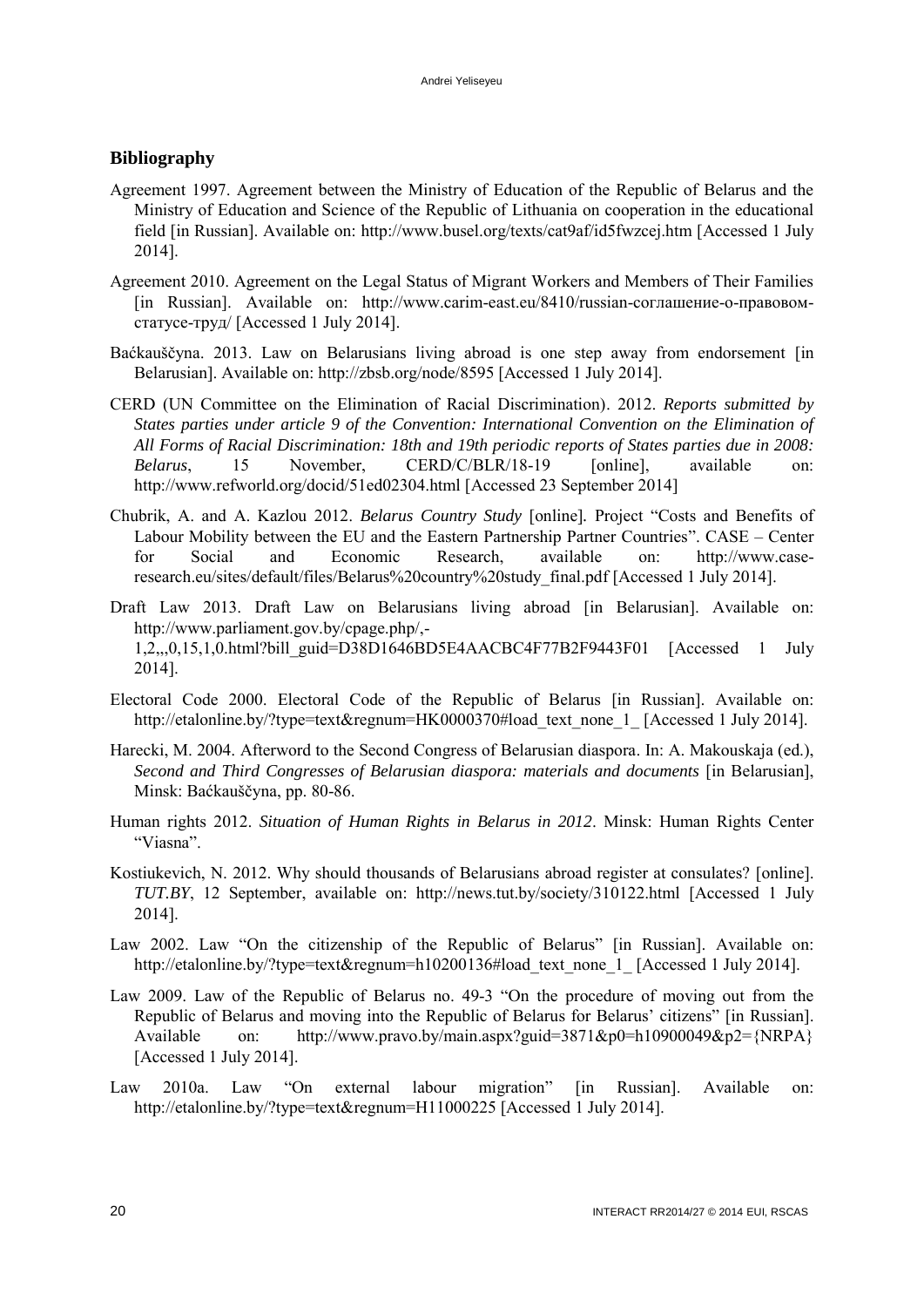# <span id="page-21-0"></span>**Bibliography**

- Agreement 1997. Agreement between the Ministry of Education of the Republic of Belarus and the Ministry of Education and Science of the Republic of Lithuania on cooperation in the educational field [in Russian]. Available on: http://www.busel.org/texts/cat9af/id5fwzcej.htm [Accessed 1 July 2014].
- Agreement 2010. Agreement on the Legal Status of Migrant Workers and Members of Their Families [in Russian]. Available on: http://www.carim-east.eu/8410/russian-соглашение-о-правовомстатусе-труд/ [Accessed 1 July 2014].
- Baćkauščyna. 2013. Law on Belarusians living abroad is one step away from endorsement [in Belarusian]. Available on: http://zbsb.org/node/8595 [Accessed 1 July 2014].
- CERD (UN Committee on the Elimination of Racial Discrimination). 2012. *Reports submitted by States parties under article 9 of the Convention: International Convention on the Elimination of All Forms of Racial Discrimination: 18th and 19th periodic reports of States parties due in 2008: Belarus*, 15 November, CERD/C/BLR/18-19 [online], available on: http://www.refworld.org/docid/51ed02304.html [Accessed 23 September 2014]
- Chubrik, A. and A. Kazlou 2012. *Belarus Country Study* [online]*.* Project "Costs and Benefits of Labour Mobility between the EU and the Eastern Partnership Partner Countries". CASE – Center for Social and Economic Research, available on: http://www.caseresearch.eu/sites/default/files/Belarus%20country%20study\_final.pdf [Accessed 1 July 2014].
- Draft Law 2013. Draft Law on Belarusians living abroad [in Belarusian]. Available on: http://www.parliament.gov.by/cpage.php/,- 1,2,,,0,15,1,0.html?bill\_guid=D38D1646BD5E4AACBC4F77B2F9443F01 [Accessed 1 July 2014].
- Electoral Code 2000. Electoral Code of the Republic of Belarus [in Russian]. Available on: http://etalonline.by/?type=text&regnum=HK0000370#load\_text\_none\_1\_ [Accessed 1 July 2014].
- Harecki, M. 2004. Afterword to the Second Congress of Belarusian diaspora. In: A. Makouskaja (ed.), *Second and Third Congresses of Belarusian diaspora: materials and documents* [in Belarusian], Minsk: Baćkauščyna, pp. 80-86.
- Human rights 2012. *Situation of Human Rights in Belarus in 2012*. Minsk: Human Rights Center "Viasna".
- Kostiukevich, N. 2012. Why should thousands of Belarusians abroad register at consulates? [online]. *TUT.BY*, 12 September, available on: http://news.tut.by/society/310122.html [Accessed 1 July 2014].
- Law 2002. Law "On the citizenship of the Republic of Belarus" [in Russian]. Available on: http://etalonline.by/?type=text&regnum=h10200136#load\_text\_none\_1\_ [Accessed 1 July 2014].
- Law 2009. Law of the Republic of Belarus no. 49-3 "On the procedure of moving out from the Republic of Belarus and moving into the Republic of Belarus for Belarus' citizens" [in Russian]. Available on: http://www.pravo.by/main.aspx?guid=3871&p0=h10900049&p2={NRPA} [Accessed 1 July 2014].
- Law 2010a. Law "On external labour migration" [in Russian]. Available on: http://etalonline.by/?type=text&regnum=H11000225 [Accessed 1 July 2014].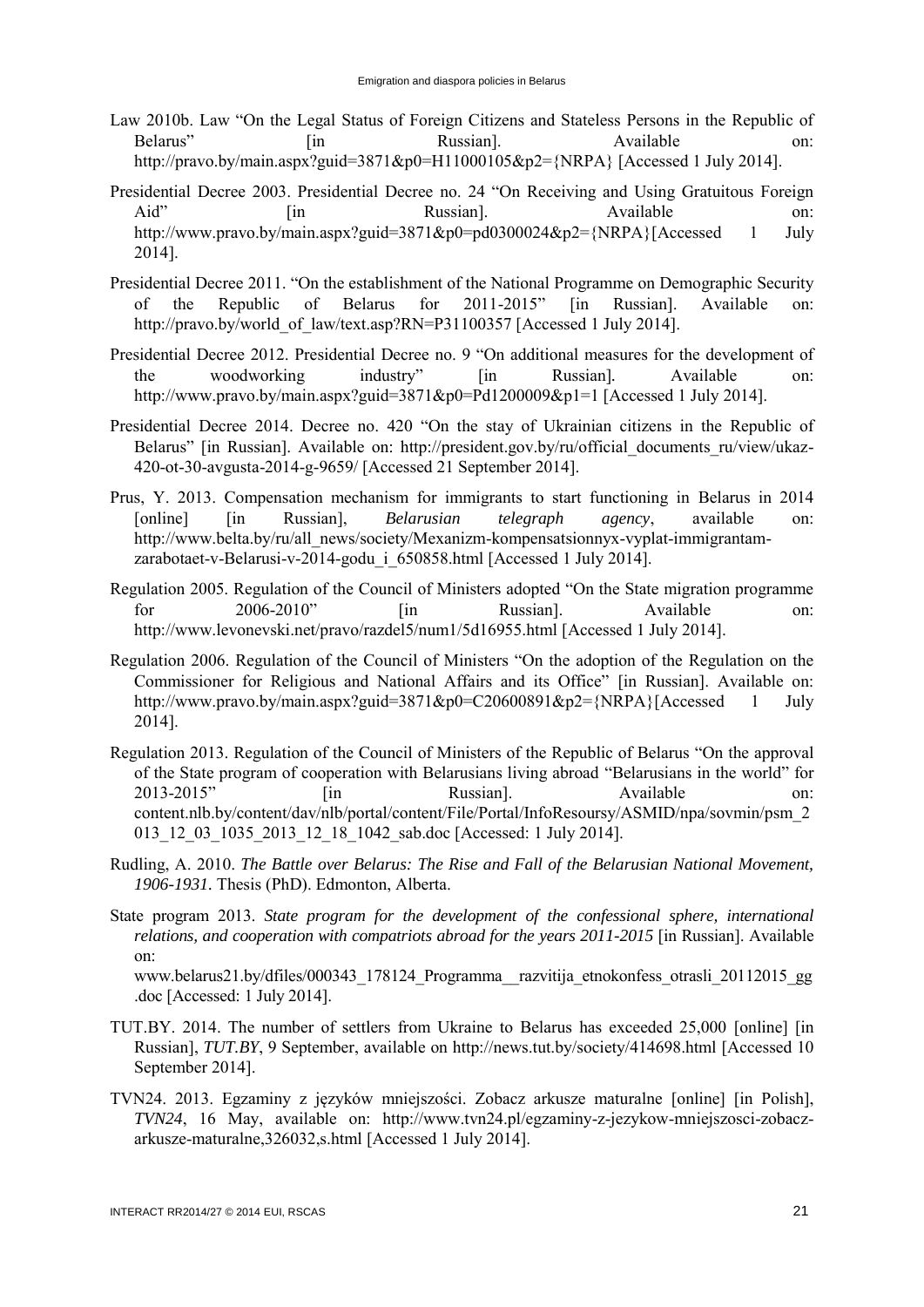- Law 2010b. Law "On the Legal Status of Foreign Citizens and Stateless Persons in the Republic of Belarus" [in Russian]. Available on: http://pravo.by/main.aspx?guid=3871&p0=H11000105&p2={NRPA} [Accessed 1 July 2014].
- Presidential Decree 2003. Presidential Decree no. 24 "On Receiving and Using Gratuitous Foreign Aid" [in Russian]. Available on: http://www.pravo.by/main.aspx?guid=3871&p0=pd0300024&p2={NRPA}[Accessed 1 July 2014].
- Presidential Decree 2011. "On the establishment of the National Programme on Demographic Security of the Republic of Belarus for 2011-2015" [in Russian]. Available on: http://pravo.by/world\_of\_law/text.asp?RN=P31100357 [Accessed 1 July 2014].
- Presidential Decree 2012. Presidential Decree no. 9 "On additional measures for the development of the woodworking industry" [in Russian]*.* Available on: http://www.pravo.by/main.aspx?guid=3871&p0=Pd1200009&p1=1 [Accessed 1 July 2014].
- Presidential Decree 2014. Decree no. 420 "On the stay of Ukrainian citizens in the Republic of Belarus" [in Russian]. Available on: http://president.gov.by/ru/official documents ru/view/ukaz-420-ot-30-avgusta-2014-g-9659/ [Accessed 21 September 2014].
- Prus, Y. 2013. Compensation mechanism for immigrants to start functioning in Belarus in 2014 [online] [in Russian], *Belarusian telegraph agency*, available on: http://www.belta.by/ru/all\_news/society/Mexanizm-kompensatsionnyx-vyplat-immigrantamzarabotaet-v-Belarusi-v-2014-godu\_i\_650858.html [Accessed 1 July 2014].
- Regulation 2005. Regulation of the Council of Ministers adopted "On the State migration programme for 2006-2010" [in Russian]. Available on: http://www.levonevski.net/pravo/razdel5/num1/5d16955.html [Accessed 1 July 2014].
- Regulation 2006. Regulation of the Council of Ministers "On the adoption of the Regulation on the Commissioner for Religious and National Affairs and its Office" [in Russian]. Available on: http://www.pravo.by/main.aspx?guid=3871&p0=C20600891&p2={NRPA}[Accessed 1 July 2014].
- Regulation 2013. Regulation of the Council of Ministers of the Republic of Belarus "On the approval of the State program of cooperation with Belarusians living abroad "Belarusians in the world" for 2013-2015" [in Russian]. Available on: content.nlb.by/content/dav/nlb/portal/content/File/Portal/InfoResoursy/ASMID/npa/sovmin/psm\_2 013 12 03 1035 2013 12 18 1042 sab.doc [Accessed: 1 July 2014].
- Rudling, A. 2010. *The Battle over Belarus: The Rise and Fall of the Belarusian National Movement, 1906-1931.* Thesis (PhD). Edmonton, Alberta.
- State program 2013. *State program for the development of the confessional sphere, international relations, and cooperation with compatriots abroad for the years 2011-2015* [in Russian]. Available on:

www.belarus21.by/dfiles/000343\_178124\_Programma\_\_razvitija\_etnokonfess\_otrasli\_20112015\_gg .doc [Accessed: 1 July 2014].

- TUT.BY. 2014. The number of settlers from Ukraine to Belarus has exceeded 25,000 [online] [in Russian], *TUT.BY*, 9 September, available on<http://news.tut.by/society/414698.html>[Accessed 10 September 2014].
- TVN24. 2013. Egzaminy z języków mniejszości. Zobacz arkusze maturalne [online] [in Polish], *TVN24*, 16 May, available on: http://www.tvn24.pl/egzaminy-z-jezykow-mniejszosci-zobaczarkusze-maturalne,326032,s.html [Accessed 1 July 2014].